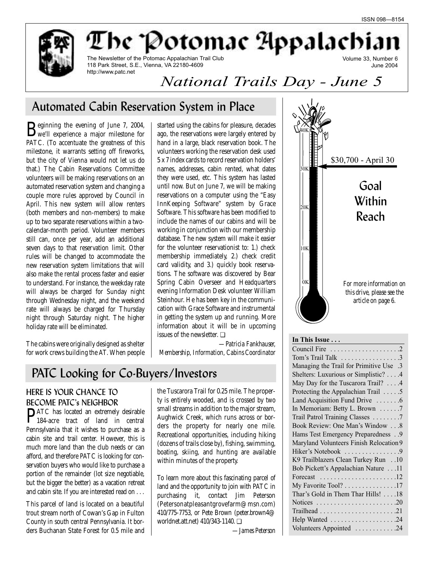June 2004

Volume 33, Number 6

The Newsletter of the Potomac Appalachian Trail Club 118 Park Street, S.E., Vienna, VA 22180-4609 http://www.patc.net

*National Trails Day - June 5*

The 'Potomac Appalachia

## Automated Cabin Reservation System in Place

Beginning the evening of June 7, 2004,<br>we'll experience a major milestone for PATC. (To accentuate the greatness of this milestone, it warrants setting off fireworks, but the city of Vienna would not let us do that.) The Cabin Reservations Committee volunteers will be making reservations on an automated reservation system and changing a couple more rules approved by Council in April. This new system will allow renters (both members and non-members) to make up to two separate reservations within a twocalendar-month period. Volunteer members still can, once per year, add an additional seven days to that reservation limit. Other rules will be changed to accommodate the new reservation system limitations that will also make the rental process faster and easier to understand. For instance, the weekday rate will always be charged for Sunday night through Wednesday night, and the weekend rate will always be charged for Thursday night through Saturday night. The higher holiday rate will be eliminated.

The cabins were originally designed as shelter for work crews building the AT. When people

started using the cabins for pleasure, decades ago, the reservations were largely entered by hand in a large, black reservation book. The volunteers working the reservation desk used 5 x 7 index cards to record reservation holders' names, addresses, cabin rented, what dates they were used, etc. This system has lasted until now. But on June 7, we will be making reservations on a computer using the "Easy InnKeeping Software" system by Grace Software. This software has been modified to include the names of our cabins and will be working in conjunction with our membership database. The new system will make it easier for the volunteer reservationist to: 1.) check membership immediately, 2.) check credit card validity, and 3.) quickly book reservations. The software was discovered by Bear Spring Cabin Overseer and Headquarters evening Information Desk volunteer William Steinhour. He has been key in the communication with Grace Software and instrumental in getting the system up and running. More information about it will be in upcoming issues of the newsletter. ❏

*—Patricia Fankhauser, Membership, Information, Cabins Coordinator* 

## PATC Looking for Co-Buyers/Investors

## HERE IS YOUR CHANCE TO BECOME PATC's NEIGHBOR

PATC has located an extremely desirable 184-acre tract of land in central Pennsylvania that it wishes to purchase as a cabin site and trail center. However, this is much more land than the club needs or can afford, and therefore PATC is looking for conservation buyers who would like to purchase a portion of the remainder (lot size negotiable, but the bigger the better) as a vacation retreat and cabin site. If you are interested read on . . .

This parcel of land is located on a beautiful trout stream north of Cowan's Gap in Fulton County in south central Pennsylvania. It borders Buchanan State Forest for 0.5 mile and

the Tuscarora Trail for 0.25 mile. The property is entirely wooded, and is crossed by two small streams in addition to the major stream, Aughwick Creek, which runs across or borders the property for nearly one mile. Recreational opportunities, including hiking (dozens of trails close by), fishing, swimming, boating, skiing, and hunting are available within minutes of the property.

To learn more about this fascinating parcel of land and the opportunity to join with PATC in purchasing it, contact Jim Peterson (Petersonatpleasantgrovefarm@msn.com) 410/775-7753, or Pete Brown (peter.brown4@ worldnet.att.net) 410/343-1140. ❏

\$30,700 - April 30 10K 30K 20K 0K Goal **Within** Reach 40K *For more information on this drive, please see the article on page 6.*

### **In This Issue . . .**

| Tom's Trail Talk 3                                                       |
|--------------------------------------------------------------------------|
| Managing the Trail for Primitive Use .3                                  |
| Shelters: Luxurious or Simplistic? 4                                     |
| May Day for the Tuscarora Trail? 4                                       |
| Protecting the Appalachian Trail 5                                       |
| Land Acquisition Fund Drive 6                                            |
| In Memoriam: Betty L. Brown 7                                            |
| Trail Patrol Training Classes 7                                          |
| Book Review: One Man's Window 8                                          |
| Hams Test Emergency Preparedness 9                                       |
| Maryland Volunteers Finish Relocation 9                                  |
| Hiker's Notebook 9                                                       |
| K9 Trailblazers Clean Turkey Run 10                                      |
| Bob Pickett's Appalachian Nature 11                                      |
| Forecast $\ldots \ldots \ldots \ldots \ldots \ldots \ldots 12$           |
| My Favorite Tool? 17                                                     |
| Thar's Gold in Them Thar Hills! 18                                       |
| Notices $\ldots \ldots \ldots \ldots \ldots \ldots \ldots \ldots \ldots$ |
|                                                                          |
| Help Wanted 24                                                           |
| Volunteers Appointed 24                                                  |

*—James Peterson*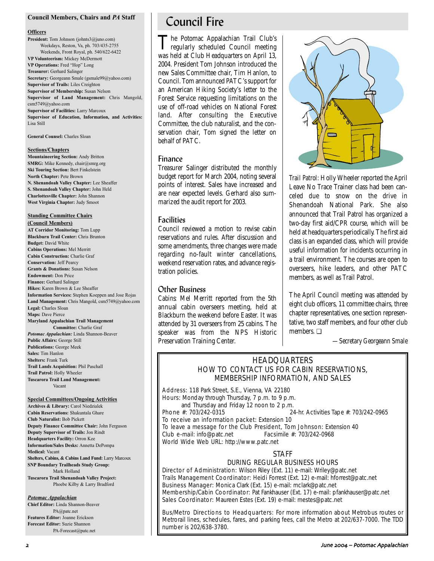#### **Council Members, Chairs and** *PA* **Staff**

#### **Officers**

**President:** Tom Johnson (johnts3@juno.com) Weekdays, Reston, Va, ph. 703/435-2755 Weekends, Front Royal, ph. 540/622-6422 **VP Volunteerism:** Mickey McDermott **VP Operations:** Fred "Hop" Long **Treasurer:** Gerhard Salinger **Secretary:** Georgeann Smale (gsmale99@yahoo.com) **Supervisor of Trails:** Liles Creighton **Supervisor of Membership:** Susan Nelson **Supervisor of Land Management:** Chris Mangold, csm5749@yahoo.com **Supervisor of Facilities:** Larry Marcoux **Supervisor of Education, Information, and Activities:** Lisa Still

**General Counsel:** Charles Sloan

#### **Sections/Chapters**

**Mountaineering Section:** Andy Britton **SMRG:** Mike Kennedy, chair@smrg.org **Ski Touring Section:** Bert Finkelstein **North Chapter:** Pete Brown **N. Shenandoah Valley Chapter:** Lee Sheaffer **S. Shenandoah Valley Chapter:** John Held **Charlottesville Chapter:** John Shannon **West Virginia Chapter:** Judy Smoot

#### **Standing Committee Chairs**

**(Council Members) AT Corridor Monitoring:** Tom Lupp **Blackburn Trail Center:** Chris Brunton **Budget:** David White **Cabins Operations:** Mel Merritt **Cabin Construction:** Charlie Graf **Conservation:** Jeff Pearcy **Grants & Donations:** Susan Nelson **Endowment:** Don Price **Finance:** Gerhard Salinger **Hikes:** Karen Brown & Lee Sheaffer **Information Services:** Stephen Koeppen and Jose Rojas **Land Management:** Chris Mangold, csm5749@yahoo.com **Legal:** Charles Sloan **Maps:** Dave Pierce **Maryland Appalachian Trail Management Committee:** Charlie Graf *Potomac Appalachian:* Linda Shannon-Beaver **Public Affairs:** George Still **Publications:** George Meek **Sales:** Tim Hanlon **Shelters:** Frank Turk **Trail Lands Acquisition:** Phil Paschall **Trail Patrol:** Holly Wheeler

**Tuscarora Trail Land Management:** Vacant

#### **Special Committees/Ongoing Activities**

**Archives & Library:** Carol Niedzialek **Cabin Reservations:** Shakuntala Ghare **Club Naturalist:** Bob Pickett **Deputy Finance Committee Chair:** John Ferguson **Deputy Supervisor of Trails:** Jon Rindt **Headquarters Facility:** Orron Kee **Information/Sales Desks:** Annetta DePompa **Medical:** Vacant **Shelters, Cabins, & Cabins Land Fund:** Larry Marcoux **SNP Boundary Trailheads Study Group:** Mark Holland **Tuscarora Trail Shenandoah Valley Project:** Phoebe Kilby & Larry Bradford

#### *Potomac Appalachian*

**Chief Editor:** Linda Shannon-Beaver PA@patc.net **Features Editor:** Joanne Erickson **Forecast Editor:** Suzie Shannon PA-Forecast@patc.net

## Council Fire

The Potomac Appalachian Trail Club's regularly scheduled Council meeting was held at Club Headquarters on April 13, 2004. President Tom Johnson introduced the new Sales Committee chair, Tim Hanlon, to Council. Tom announced PATC's support for an American Hiking Society's letter to the Forest Service requesting limitations on the use of off-road vehicles on National Forest land. After consulting the Executive Committee, the club naturalist, and the conservation chair, Tom signed the letter on behalf of PATC.

### Finance

Treasurer Salinger distributed the monthly budget report for March 2004, noting several points of interest. Sales have increased and are near expected levels. Gerhard also summarized the audit report for 2003.

### **Facilities**

Council reviewed a motion to revise cabin reservations and rules. After discussion and some amendments, three changes were made regarding no-fault winter cancellations, weekend reservation rates, and advance registration policies.

### Other Business

*Cabins:* Mel Merritt reported from the 5th annual cabin overseers meeting, held at Blackburn the weekend before Easter. It was attended by 31 overseers from 25 cabins. The speaker was from the NPS Historic Preservation Training Center.



*Trail Patrol:* Holly Wheeler reported the April Leave No Trace Trainer class had been canceled due to snow on the drive in Shenandoah National Park. She also announced that Trail Patrol has organized a two-day first aid/CPR course, which will be held at headquarters periodically. The first aid class is an expanded class, which will provide useful information for incidents occurring in a trail environment. The courses are open to overseers, hike leaders, and other PATC members, as well as Trail Patrol.

The April Council meeting was attended by eight club officers, 11 committee chairs, three chapter representatives, one section representative, two staff members, and four other club members. ❏

*—Secretary Georgeann Smale*

### **HEADQUARTERS** HOW TO CONTACT US FOR CABIN RESERVATIONS, MEMBERSHIP INFORMATION, AND SALES

Address: 118 Park Street, S.E., Vienna, VA 22180 Hours: Monday through Thursday, 7 p.m. to 9 p.m. and Thursday and Friday 12 noon to 2 p.m.<br>Phone  $\#$ : 703/242-0315

24-hr. Activities Tape #: 703/242-0965

To receive an information packet: Extension 10

To leave a message for the Club President, Tom Johnson: Extension 40 Club e-mail: info@patc.net Facsimile #: 703/242-0968 World Wide Web URL: http://www.patc.net

#### STAFF

### DURING REGULAR BUSINESS HOURS

Director of Administration: Wilson Riley (Ext. 11) e-mail: Wriley@patc.net Trails Management Coordinator: Heidi Forrest (Ext. 12) e-mail: hforrest@patc.net Business Manager: Monica Clark (Ext. 15) e-mail: mclark@patc.net Membership/Cabin Coordinator: Pat Fankhauser (Ext. 17) e-mail: pfankhauser@patc.net Sales Coordinator: Maureen Estes (Ext. 19) e-mail: mestes@patc.net

Bus/Metro Directions to Headquarters: For more information about Metrobus routes or Metrorail lines, schedules, fares, and parking fees, call the Metro at 202/637-7000. The TDD number is 202/638-3780.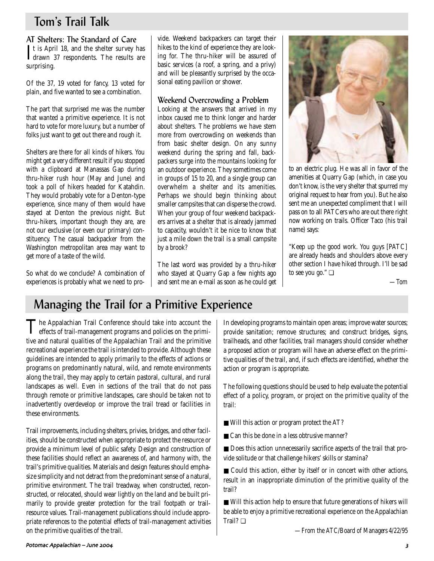## Tom's Trail Talk

## AT Shelters: The Standard of Care

It is April 18, and the shelter survey has<br>drawn 37 respondents. The results are drawn 37 respondents. The results are surprising.

Of the 37, 19 voted for fancy, 13 voted for plain, and five wanted to see a combination.

The part that surprised me was the number that wanted a primitive experience. It is not hard to vote for more luxury, but a number of folks just want to get out there and rough it.

Shelters are there for all kinds of hikers. You might get a very different result if you stopped with a clipboard at Manassas Gap during thru-hiker rush hour (May and June) and took a poll of hikers headed for Katahdin. They would probably vote for a Denton-type experience, since many of them would have stayed at Denton the previous night. But thru-hikers, important though they are, are not our exclusive (or even our primary) constituency. The casual backpacker from the Washington metropolitan area may want to get more of a taste of the wild.

So what do we conclude? A combination of experiences is probably what we need to provide. Weekend backpackers can target their hikes to the kind of experience they are looking for. The thru-hiker will be assured of basic services (a roof, a spring, and a privy) and will be pleasantly surprised by the occasional eating pavilion or shower.

### Weekend Overcrowding a Problem

Looking at the answers that arrived in my inbox caused me to think longer and harder about shelters. The problems we have stem more from overcrowding on weekends than from basic shelter design. On any sunny weekend during the spring and fall, backpackers surge into the mountains looking for an outdoor experience. They sometimes come in groups of 15 to 20, and a single group can overwhelm a shelter and its amenities. Perhaps we should begin thinking about smaller campsites that can disperse the crowd. When your group of four weekend backpackers arrives at a shelter that is already jammed to capacity, wouldn't it be nice to know that just a mile down the trail is a small campsite by a brook?

The last word was provided by a thru-hiker who stayed at Quarry Gap a few nights ago and sent me an e-mail as soon as he could get



to an electric plug. He was all in favor of the amenities at Quarry Gap (which, in case you don't know, is the very shelter that spurred my original request to hear from you). But he also sent me an unexpected compliment that I will pass on to all PATCers who are out there right now working on trails. Officer Taco (his trail name) says:

"Keep up the good work. You guys [PATC] are already heads and shoulders above every other section I have hiked through. I'll be sad to see you go." ❏

*—Tom*

## Managing the Trail for a Primitive Experience

The Appalachian Trail Conference should take into account the effects of trail-management programs and policies on the primitive and natural qualities of the Appalachian Trail and the primitive recreational experience the trail is intended to provide. Although these guidelines are intended to apply primarily to the effects of actions or programs on predominantly natural, wild, and remote environments along the trail, they may apply to certain pastoral, cultural, and rural landscapes as well. Even in sections of the trail that do not pass through remote or primitive landscapes, care should be taken not to inadvertently overdevelop or improve the trail tread or facilities in these environments.

Trail improvements, including shelters, privies, bridges, and other facilities, should be constructed when appropriate to protect the resource or provide a minimum level of public safety. Design and construction of these facilities should reflect an awareness of, and harmony with, the trail's primitive qualities. Materials and design features should emphasize simplicity and not detract from the predominant sense of a natural, primitive environment. The trail treadway, when constructed, reconstructed, or relocated, should wear lightly on the land and be built primarily to provide greater protection for the trail footpath or trailresource values. Trail-management publications should include appropriate references to the potential effects of trail-management activities on the primitive qualities of the trail.

In developing programs to maintain open areas; improve water sources; provide sanitation; remove structures; and construct bridges, signs, trailheads, and other facilities, trail managers should consider whether a proposed action or program will have an adverse effect on the primitive qualities of the trail, and, if such effects are identified, whether the action or program is appropriate.

The following questions should be used to help evaluate the potential effect of a policy, program, or project on the primitive quality of the trail:

- Will this action or program protect the AT?
- Can this be done in a less obtrusive manner?

■ Does this action unnecessarily sacrifice aspects of the trail that provide solitude or that challenge hikers' skills or stamina?

■ Could this action, either by itself or in concert with other actions, result in an inappropriate diminution of the primitive quality of the trail?

■ Will this action help to ensure that future generations of hikers will be able to enjoy a primitive recreational experience on the Appalachian Trail? ❏

*—From the ATC/Board of Managers 4/22/95*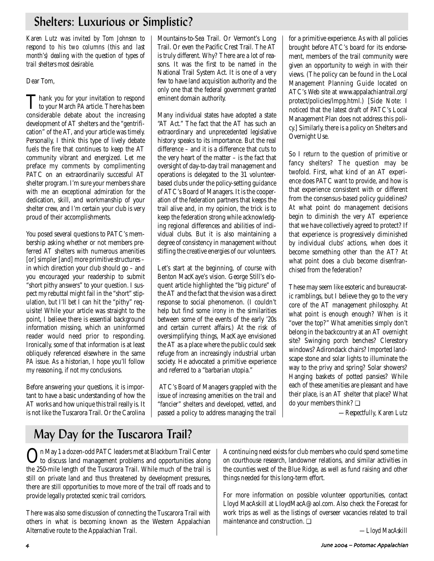## Shelters: Luxurious or Simplistic?

*Karen Lutz was invited by Tom Johnson to respond to his two columns (this and last month's) dealing with the question of types of trail shelters most desirable.* 

## Dear Tom,

Thank you for your invitation to respond<br>to your March *PA* article. There has been considerable debate about the increasing development of AT shelters and the "gentrification" of the AT, and your article was timely. Personally, I think this type of lively debate fuels the fire that continues to keep the AT community vibrant and energized. Let me preface my comments by complimenting PATC on an extraordinarily successful AT shelter program. I'm sure your members share with me an exceptional admiration for the dedication, skill, and workmanship of your shelter crew, and I'm certain your club is very proud of their accomplishments.

You posed several questions to PATC's membership asking whether or not members preferred AT shelters with numerous amenities [or] simpler [and] more primitive structures – in which direction your club should go – and you encouraged your readership to submit "short pithy answers" to your question. I suspect my rebuttal might fail in the "short" stipulation, but I'll bet I can hit the "pithy" requisite! While your article was straight to the point, I believe there is essential background information missing, which an uninformed reader would need prior to responding. Ironically, some of that information is at least obliquely referenced elsewhere in the same *PA* issue. As a historian, I hope you'll follow my reasoning, if not my conclusions.

Before answering your questions, it is important to have a basic understanding of how the AT works and how unique this trail really is. It is not like the Tuscarora Trail. Or the Carolina Mountains-to-Sea Trail. Or Vermont's Long Trail. Or even the Pacific Crest Trail. The AT is truly different. Why? There are a lot of reasons. It was the first to be named in the National Trail System Act. It is one of a very few to have land acquisition authority and the only one that the federal government granted eminent domain authority.

Many individual states have adopted a state "AT Act." The fact that the AT has such an extraordinary and unprecedented legislative history speaks to its importance. But the real difference – and it is a difference that cuts to the very heart of the matter – is the fact that oversight of day-to-day trail management and operations is delegated to the 31 volunteerbased clubs under the policy-setting guidance of ATC's Board of Managers. It is the cooperation of the federation partners that keeps the trail alive and, in my opinion, the trick is to keep the federation strong while acknowledging regional differences and abilities of individual clubs. But it is also maintaining a degree of consistency in management without stifling the creative energies of our volunteers.

Let's start at the beginning, of course with Benton MacKaye's vision. George Still's eloquent article highlighted the "big picture" of the AT and the fact that the vision was a direct response to social phenomenon. (I couldn't help but find some irony in the similarities between some of the events of the early '20s and certain current affairs.) At the risk of oversimplifying things, MacKaye envisioned the AT as a place where the public could seek refuge from an increasingly industrial urban society. He advocated a primitive experience and referred to a "barbarian utopia."

ATC's Board of Managers grappled with the issue of increasing amenities on the trail and "fancier" shelters and developed, vetted, and passed a policy to address managing the trail for a primitive experience. As with all policies brought before ATC's board for its endorsement, members of the trail community were given an opportunity to weigh in with their views. (The policy can be found in the Local Management Planning Guide located on ATC's Web site at www.appalachiantrail.org/ protect/policies/lmpg.html.) [Side Note: I noticed that the latest draft of PATC's Local Management Plan does not address this policy.] Similarly, there is a policy on Shelters and Overnight Use.

So I return to the question of primitive or fancy shelters? The question may be twofold. First, what kind of an AT experience does PATC want to provide, and how is that experience consistent with or different from the consensus-based policy guidelines? At what point do management decisions begin to diminish the very AT experience that we have collectively agreed to protect? If that experience is progressively diminished by individual clubs' actions, when does it become something other than the AT? At what point does a club become disenfranchised from the federation?

These may seem like esoteric and bureaucratic ramblings, but I believe they go to the very core of the AT management philosophy. At what point is enough enough? When is it "over the top?" What amenities simply don't belong in the backcountry at an AT overnight site? Swinging porch benches? Clerestory windows? Adirondack chairs? Imported landscape stone and solar lights to illuminate the way to the privy and spring? Solar showers? Hanging baskets of potted pansies? While each of these amenities are pleasant and have their place, is an AT shelter that place? What do your members think? ❏

*—Respectfully, Karen Lutz*

# May Day for the Tuscarora Trail?

On May 1 a dozen-odd PATC leaders met at Blackburn Trail Center to discuss land management problems and opportunities along the 250-mile length of the Tuscarora Trail. While much of the trail is still on private land and thus threatened by development pressures, there are still opportunities to move more of the trail off roads and to provide legally protected scenic trail corridors.

There was also some discussion of connecting the Tuscarora Trail with others in what is becoming known as the Western Appalachian Alternative route to the Appalachian Trail.

A continuing need exists for club members who could spend some time on courthouse research, landowner relations, and similar activities in the counties west of the Blue Ridge, as well as fund raising and other things needed for this long-term effort.

For more information on possible volunteer opportunities, contact Lloyd MacAskill at LloydMacA@aol.com. Also check the Forecast for work trips as well as the listings of overseer vacancies related to trail maintenance and construction. ❏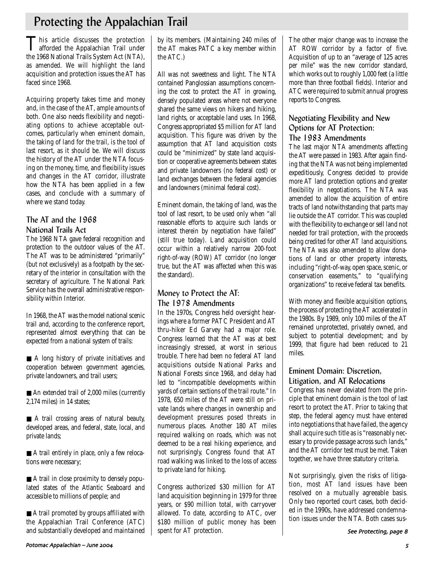## Protecting the Appalachian Trail

This article discusses the protection<br>afforded the Appalachian Trail under the 1968 National Trails System Act (NTA), as amended. We will highlight the land acquisition and protection issues the AT has faced since 1968.

Acquiring property takes time and money and, in the case of the AT, ample amounts of both. One also needs flexibility and negotiating options to achieve acceptable outcomes, particularly when eminent domain, the taking of land for the trail, is the tool of last resort, as it should be. We will discuss the history of the AT under the NTA focusing on the money, time, and flexibility issues and changes in the AT corridor, illustrate how the NTA has been applied in a few cases, and conclude with a summary of where we stand today.

## The AT and the 1968 National Trails Act

The 1968 NTA gave federal recognition and protection to the outdoor values of the AT. The AT was to be administered "primarily" (but not exclusively) as a footpath by the secretary of the interior in consultation with the secretary of agriculture. The National Park Service has the overall administrative responsibility within Interior.

In 1968, the AT was the model national scenic trail and, according to the conference report, represented almost everything that can be expected from a national system of trails:

■ A long history of private initiatives and cooperation between government agencies, private landowners, and trail users;

■ An extended trail of 2,000 miles (currently 2,174 miles) in 14 states;

■ A trail crossing areas of natural beauty, developed areas, and federal, state, local, and private lands;

■ A trail entirely in place, only a few relocations were necessary;

■ A trail in close proximity to densely populated states of the Atlantic Seaboard and accessible to millions of people; and

■ A trail promoted by groups affiliated with the Appalachian Trail Conference (ATC) and substantially developed and maintained by its members. (Maintaining 240 miles of the AT makes PATC a key member within the ATC.)

All was not sweetness and light. The NTA contained Panglossian assumptions concerning the cost to protect the AT in growing, densely populated areas where not everyone shared the same views on hikers and hiking, land rights, or acceptable land uses. In 1968, Congress appropriated \$5 million for AT land acquisition. This figure was driven by the assumption that AT land acquisition costs could be "minimized" by state land acquisition or cooperative agreements between states and private landowners (no federal cost) or land exchanges between the federal agencies and landowners (minimal federal cost).

Eminent domain, the taking of land, was the tool of last resort, to be used only when "all reasonable efforts to acquire such lands or interest therein by negotiation have failed" (still true today). Land acquisition could occur within a relatively narrow 200-foot right-of-way (ROW) AT corridor (no longer true, but the AT was affected when this was the standard).

## Money to Protect the AT: The 1978 Amendments

In the 1970s, Congress held oversight hearings where a former PATC President and AT thru-hiker Ed Garvey had a major role. Congress learned that the AT was at best increasingly stressed, at worst in serious trouble. There had been no federal AT land acquisitions outside National Parks and National Forests since 1968, and delay had led to "incompatible developments within yards of certain sections of the trail route." In 1978, 650 miles of the AT were still on private lands where changes in ownership and development pressures posed threats in numerous places. Another 180 AT miles required walking on roads, which was not deemed to be a real hiking experience, and not surprisingly, Congress found that AT road walking was linked to the loss of access to private land for hiking.

Congress authorized \$30 million for AT land acquisition beginning in 1979 for three years, or \$90 million total, with carryover allowed. To date, according to ATC, over \$180 million of public money has been spent for AT protection.

The other major change was to increase the AT ROW corridor by a factor of five. Acquisition of up to an "average of 125 acres per mile" was the new corridor standard, which works out to roughly 1,000 feet (a little more than three football fields). Interior and ATC were required to submit annual progress reports to Congress.

## Negotiating Flexibility and New Options for AT Protection: The 1983 Amendments

The last major NTA amendments affecting the AT were passed in 1983. After again finding that the NTA was not being implemented expeditiously, Congress decided to provide more AT land protection options and greater flexibility in negotiations. The NTA was amended to allow the acquisition of entire tracts of land notwithstanding that parts may lie outside the AT corridor. This was coupled with the flexibility to exchange or sell land not needed for trail protection, with the proceeds being credited for other AT land acquisitions. The NTA was also amended to allow donations of land or other property interests, including "right-of-way, open space, scenic, or conservation easements," to "qualifying organizations" to receive federal tax benefits.

With money and flexible acquisition options, the process of protecting the AT accelerated in the 1980s. By 1989, only 100 miles of the AT remained unprotected, privately owned, and subject to potential development; and by 1999, that figure had been reduced to 21 miles.

## Eminent Domain: Discretion, Litigation, and AT Relocations

Congress has never deviated from the principle that eminent domain is the tool of last resort to protect the AT. Prior to taking that step, the federal agency must have entered into negotiations that have failed, the agency shall acquire such title as is "reasonably necessary to provide passage across such lands," and the AT corridor test must be met. Taken together, we have three statutory criteria.

Not surprisingly, given the risks of litigation, most AT land issues have been resolved on a mutually agreeable basis. Only two reported court cases, both decided in the 1990s, have addressed condemnation issues under the NTA. Both cases sus-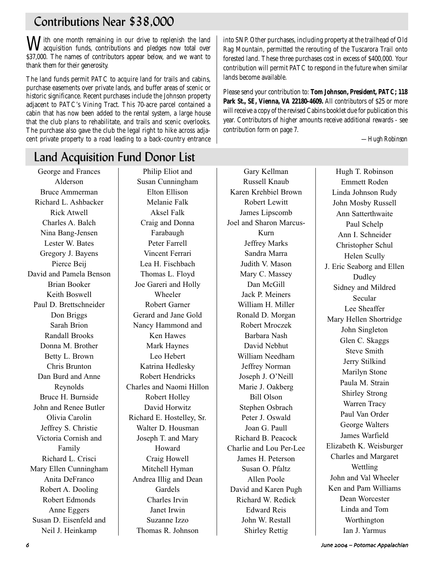## Contributions Near \$38,000

With one month remaining in our drive to replenish the land acquisition funds, contributions and pledges now total over \$37,000. The names of contributors appear below, and we want to thank them for their generosity.

The land funds permit PATC to acquire land for trails and cabins, purchase easements over private lands, and buffer areas of scenic or historic significance. Recent purchases include the Johnson property adjacent to PATC's Vining Tract. This 70-acre parcel contained a cabin that has now been added to the rental system, a large house that the club plans to rehabilitate, and trails and scenic overlooks. The purchase also gave the club the legal right to hike across adjacent private property to a road leading to a back-country entrance into SNP. Other purchases, including property at the trailhead of Old Rag Mountain, permitted the rerouting of the Tuscarora Trail onto forested land. These three purchases cost in excess of \$400,000. Your contribution will permit PATC to respond in the future when similar lands become available.

Please send your contribution to: **Tom Johnson, President, PATC; 118 Park St., SE, Vienna, VA 22180-4609.** All contributors of \$25 or more will receive a copy of the revised Cabins booklet due for publication this year. Contributors of higher amounts receive additional rewards - see contribution form on page 7.

*—Hugh Robinson*

# Land Acquisition Fund Donor List

George and Frances Alderson Bruce Ammerman Richard L. Ashbacker Rick Atwell Charles A. Balch Nina Bang-Jensen Lester W. Bates Gregory J. Bayens Pierce Beij David and Pamela Benson Brian Booker Keith Boswell Paul D. Brettschneider Don Briggs Sarah Brion Randall Brooks Donna M. Brother Betty L. Brown Chris Brunton Dan Burd and Anne Reynolds Bruce H. Burnside John and Renee Butler Olivia Carolin Jeffrey S. Christie Victoria Cornish and Family Richard L. Crisci Mary Ellen Cunningham Anita DeFranco Robert A. Dooling Robert Edmonds Anne Eggers Susan D. Eisenfeld and Neil J. Heinkamp

Philip Eliot and Susan Cunningham Elton Ellison Melanie Falk Aksel Falk Craig and Donna Farabaugh Peter Farrell Vincent Ferrari Lea H. Fischbach Thomas L. Floyd Joe Gareri and Holly Wheeler Robert Garner Gerard and Jane Gold Nancy Hammond and Ken Hawes Mark Haynes Leo Hebert Katrina Hedlesky Robert Hendricks Charles and Naomi Hillon Robert Holley David Horwitz Richard E. Hostelley, Sr. Walter D. Housman Joseph T. and Mary Howard Craig Howell Mitchell Hyman Andrea Illig and Dean Gardels Charles Irvin Janet Irwin Suzanne Izzo Thomas R. Johnson

Gary Kellman Russell Knaub Karen Krehbiel Brown Robert Lewitt James Lipscomb Joel and Sharon Marcus-Kurn Jeffrey Marks Sandra Marra Judith V. Mason Mary C. Massey Dan McGill Jack P. Meiners William H. Miller Ronald D. Morgan Robert Mroczek Barbara Nash David Nebhut William Needham Jeffrey Norman Joseph J. O'Neill Marie J. Oakberg Bill Olson Stephen Osbrach Peter J. Oswald Joan G. Paull Richard B. Peacock Charlie and Lou Per-Lee James H. Peterson Susan O. Pfaltz Allen Poole David and Karen Pugh Richard W. Redick Edward Reis John W. Restall Shirley Rettig

Hugh T. Robinson Emmett Roden Linda Johnson Rudy John Mosby Russell Ann Satterthwaite Paul Schelp Ann I. Schneider Christopher Schul Helen Scully J. Eric Seaborg and Ellen Dudley Sidney and Mildred Secular Lee Sheaffer Mary Hellen Shortridge John Singleton Glen C. Skaggs Steve Smith Jerry Stilkind Marilyn Stone Paula M. Strain Shirley Strong Warren Tracy Paul Van Order George Walters James Warfield Elizabeth K. Weisburger Charles and Margaret Wettling John and Val Wheeler Ken and Pam Williams Dean Worcester Linda and Tom Worthington Ian J. Yarmus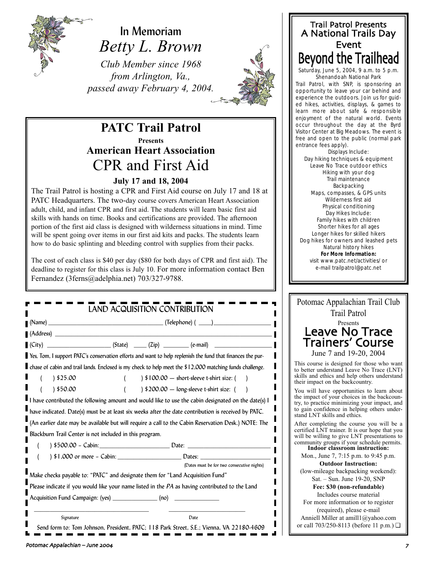

In Memoriam *Betty L. Brown*

*Club Member since 1968 from Arlington, Va., passed away February 4, 2004.*



## **PATC Trail Patrol Presents American Heart Association** CPR and First Aid

## **July 17 and 18, 2004**

The Trail Patrol is hosting a CPR and First Aid course on July 17 and 18 at PATC Headquarters. The two-day course covers American Heart Association adult, child, and infant CPR and first aid. The students will learn basic first aid skills with hands on time. Books and certifications are provided. The afternoon portion of the first aid class is designed with wilderness situations in mind. Time will be spent going over items in our first aid kits and packs. The students learn how to do basic splinting and bleeding control with supplies from their packs.

The cost of each class is \$40 per day (\$80 for both days of CPR and first aid). The deadline to register for this class is July 10. For more information contact Ben Fernandez (3ferns@adelphia.net) 703/327-9788.

| (Address)     |                                                                                                                   |  |  |
|---------------|-------------------------------------------------------------------------------------------------------------------|--|--|
|               | $(City)$ $(City)$ $(State)$ $(Zip)$ $(Cip)$ $(e-mail)$                                                            |  |  |
|               | Yes, Tom, I support PATC's conservation efforts and want to help replenish the fund that finances the pur-        |  |  |
|               | <b>I</b> chase of cabin and trail lands. Enclosed is my check to help meet the \$12,000 matching funds challenge. |  |  |
| 325.00        | $\frac{1}{2}$ \$100.00 - short-sleeve t-shirt size: (                                                             |  |  |
| $( )$ \$50.00 | $\frac{1}{200.00}$ - long-sleeve t-shirt size: (                                                                  |  |  |
|               | I have contributed the following amount and would like to use the cabin designated on the date(s) I               |  |  |
|               | have indicated. Date(s) must be at least six weeks after the date contribution is received by PATC.               |  |  |
|               |                                                                                                                   |  |  |
|               | (An earlier date may be available but will require a call to the Cabin Reservation Desk.) NOTE: The               |  |  |
|               | Blackburn Trail Center is not included in this program.                                                           |  |  |
|               |                                                                                                                   |  |  |
|               |                                                                                                                   |  |  |
|               | (Dates must be for two consecutive nights)                                                                        |  |  |
|               | Make checks payable to: "PATC" and designate them for "Land Acquisition Fund"                                     |  |  |
|               | Please indicate if you would like your name listed in the PA as having contributed to the Land                    |  |  |
|               | Acquisition Fund Campaign: (yes) _________________ (no) ________________________                                  |  |  |

## Trail Patrol Presents A National Trails Day Event Beyond the Trailhead

Saturday, June 5, 2004, 9 a.m. to 5 p.m. Shenandoah National Park

Trail Patrol, with SNP, is sponsoring an opportunity to leave your car behind and experience the outdoors. Join us for guided hikes, activities, displays, & games to learn more about safe & responsible enjoyment of the natural world. Events occur throughout the day at the Byrd Visitor Center at Big Meadows. The event is free and open to the public (normal park entrance fees apply).

Displays Include: Day hiking techniques & equipment Leave No Trace outdoor ethics Hiking with your dog Trail maintenance Backpacking Maps, compasses, & GPS units Wilderness first aid Physical conditioning Day Hikes Include: Family hikes with children Shorter hikes for all ages Longer hikes for skilled hikers Dog hikes for owners and leashed pets Natural history hikes **For More Information:** visit www.patc.net/activities/ or e-mail trailpatrol@patc.net

| D ACQUISITION CONTRIBUTION                                                 | Potomac Appalachian Trail Club<br><b>Trail Patrol</b>                                                                                                                      |  |
|----------------------------------------------------------------------------|----------------------------------------------------------------------------------------------------------------------------------------------------------------------------|--|
|                                                                            | Presents                                                                                                                                                                   |  |
|                                                                            | Leave No Trace                                                                                                                                                             |  |
|                                                                            | <b>Trainers' Course</b>                                                                                                                                                    |  |
| rvation efforts and want to help replenish the fund that finances the pur- | June 7 and 19-20, 2004                                                                                                                                                     |  |
| iclosed is my check to help meet the \$12,000 matching funds challenge.    | This course is designed for those who want<br>to better understand Leave No Trace (LNT)                                                                                    |  |
| $\frac{1}{2}$ \$100.00 - short-sleeve t-shirt size: (                      | skills and ethics and help others understand<br>their impact on the backcountry.                                                                                           |  |
| ) \$200.00 - long-sleeve t-shirt size: (                                   | You will have opportunities to learn about                                                                                                                                 |  |
| ig amount and would like to use the cabin designated on the date(s) I      | the impact of your choices in the backcoun-<br>try, to practice minimizing your impact, and<br>to gain confidence in helping others under-<br>stand LNT skills and ethics. |  |
| e at least six weeks after the date contribution is received by PATC.      |                                                                                                                                                                            |  |
| ble but will require a call to the Cabin Reservation Desk.) NOTE: The      | After completing the course you will be a                                                                                                                                  |  |
| ncluded in this program.                                                   | certified LNT trainer. It is our hope that you<br>will be willing to give LNT presentations to                                                                             |  |
|                                                                            | community groups if your schedule permits.<br>Indoor classroom instruction:                                                                                                |  |
|                                                                            | Mon., June 7, 7:15 p.m. to 9:45 p.m.                                                                                                                                       |  |
| (Dates must be for two consecutive nights)                                 | <b>Outdoor Instruction:</b>                                                                                                                                                |  |
| " and designate them for "Land Acquisition Fund"                           | (low-mileage backpacking weekend):<br>Sat. $-$ Sun. June 19-20, SNP                                                                                                        |  |
| ke your name listed in the PA as having contributed to the Land            | Fee: \$30 (non-refundable)                                                                                                                                                 |  |
| $(yes)$ $(mo)$                                                             | Includes course material                                                                                                                                                   |  |
|                                                                            | For more information or to register<br>(required), please e-mail                                                                                                           |  |
| Date                                                                       | Anniell Miller at amill1@yahoo.com                                                                                                                                         |  |
| I, President, PATC; 118 Park Street, S.E.; Vienna, VA 22180-4609           | or call 703/250-8113 (before 11 p.m.) $\Box$                                                                                                                               |  |
|                                                                            |                                                                                                                                                                            |  |
| 004                                                                        |                                                                                                                                                                            |  |
|                                                                            |                                                                                                                                                                            |  |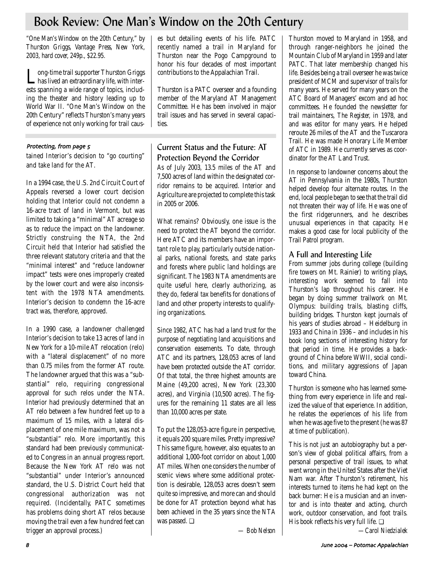## Book Review: One Man's Window on the 20th Century

*"One Man's Window on the 20th Century," by Thurston Griggs, Vantage Press, New York, 2003, hard cover, 249p., \$22.95.* 

Long-time trail supporter Thurston Griggs has lived an extraordinary life, with interests spanning a wide range of topics, including the theater and history leading up to World War II. "One Man's Window on the 20th Century" reflects Thurston's many years of experience not only working for trail caus-

## Protecting, from page 5

tained Interior's decision to "go courting" and take land for the AT.

In a 1994 case, the U.S. 2nd Circuit Court of Appeals reversed a lower court decision holding that Interior could not condemn a 16-acre tract of land in Vermont, but was limited to taking a "minimal" AT acreage so as to reduce the impact on the landowner. Strictly construing the NTA, the 2nd Circuit held that Interior had satisfied the three relevant statutory criteria and that the "minimal interest" and "reduce landowner impact" tests were ones improperly created by the lower court and were also inconsistent with the 1978 NTA amendments. Interior's decision to condemn the 16-acre tract was, therefore, approved.

In a 1990 case, a landowner challenged Interior's decision to take 13 acres of land in New York for a 10-mile AT relocation (relo) with a "lateral displacement" of no more than 0.75 miles from the former AT route. The landowner argued that this was a "substantial" relo, requiring congressional approval for such relos under the NTA. Interior had previously determined that an AT relo between a few hundred feet up to a maximum of 15 miles, with a lateral displacement of one mile maximum, was not a "substantial" relo. More importantly, this standard had been previously communicated to Congress in an annual progress report. Because the New York AT relo was not "substantial" under Interior's announced standard, the U.S. District Court held that congressional authorization was not required. (Incidentally, PATC sometimes has problems doing short AT relos because moving the trail even a few hundred feet can trigger an approval process.)

es but detailing events of his life. PATC recently named a trail in Maryland for Thurston near the Pogo Campground to honor his four decades of most important contributions to the Appalachian Trail.

Thurston is a PATC overseer and a founding member of the Maryland AT Management Committee. He has been involved in major trail issues and has served in several capacities.

## Current Status and the Future: AT Protection Beyond the Corridor

As of July 2003, 13.5 miles of the AT and 7,500 acres of land within the designated corridor remains to be acquired. Interior and Agriculture are projected to complete this task in 2005 or 2006.

What remains? Obviously, one issue is the need to protect the AT beyond the corridor. Here ATC and its members have an important role to play, particularly outside national parks, national forests, and state parks and forests where public land holdings are significant. The 1983 NTA amendments are quite useful here, clearly authorizing, as they do, federal tax benefits for donations of land and other property interests to qualifying organizations.

Since 1982, ATC has had a land trust for the purpose of negotiating land acquisitions and conservation easements. To date, through ATC and its partners, 128,053 acres of land have been protected outside the AT corridor. Of that total, the three highest amounts are Maine (49,200 acres), New York (23,300 acres), and Virginia (10,500 acres). The figures for the remaining 11 states are all less than 10,000 acres per state.

To put the 128,053-acre figure in perspective, it equals 200 square miles. Pretty impressive? This same figure, however, also equates to an additional 1,000-foot corridor on about 1,000 AT miles. When one considers the number of scenic views where some additional protection is desirable, 128,053 acres doesn't seem quite so impressive, and more can and should be done for AT protection beyond what has been achieved in the 35 years since the NTA was passed. ❏

*— Bob Nelson*

Thurston moved to Maryland in 1958, and through ranger-neighbors he joined the Mountain Club of Maryland in 1959 and later PATC. That later membership changed his life. Besides being a trail overseer he was twice president of MCM and supervisor of trails for many years. He served for many years on the ATC Board of Managers' excom and ad hoc committees. He founded the newsletter for trail maintainers, *The Register,* in 1978, and and was editor for many years. He helped reroute 26 miles of the AT and the Tuscarora Trail. He was made Honorary Life Member of ATC in 1989. He currently serves as coordinator for the AT Land Trust.

In response to landowner concerns about the AT in Pennsylvania in the 1980s, Thurston helped develop four alternate routes. In the end, local people began to see that the trail did not threaten their way of life. He was one of the first ridgerunners, and he describes unusual experiences in that capacity. He makes a good case for local publicity of the Trail Patrol program.

## A Full and Interesting Life

From summer jobs during college (building fire towers on Mt. Rainier) to writing plays, interesting work seemed to fall into Thurston's lap throughout his career. He began by doing summer trailwork on Mt. Olympus: building trails, blasting cliffs, building bridges. Thurston kept journals of his years of studies abroad – Heidelburg in 1933 and China in 1936 – and includes in his book long sections of interesting history for that period in time. He provides a background of China before WWII, social conditions, and military aggressions of Japan toward China.

Thurston is someone who has learned something from every experience in life and realized the value of that experience. In addition, he relates the experiences of his life from when he was age five to the present (he was 87 at time of publication).

This is not just an autobiography but a person's view of global political affairs, from a personal perspective of trail issues, to what went wrong in the United States after the Viet Nam war. After Thurston's retirement, his interests turned to items he had kept on the back burner: He is a musician and an inventor and is into theater and acting, church work, outdoor conservation, and foot trails. His book reflects his very full life.  $\Box$ 

*—Carol Niedzialek*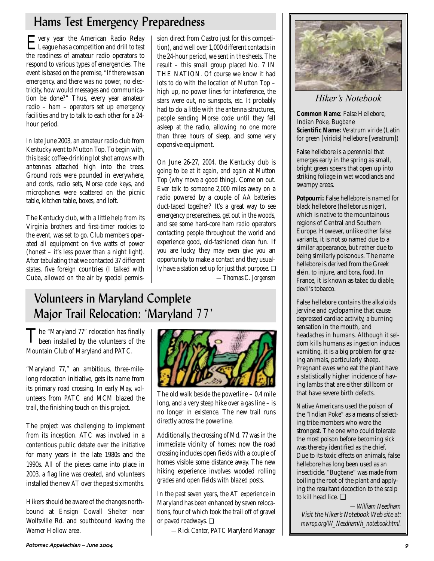## Hams Test Emergency Preparedness

Every year the American Radio Relay League has a competition and drill to test the readiness of amateur radio operators to respond to various types of emergencies. The event is based on the premise, "If there was an emergency, and there was no power, no electricity, how would messages and communication be done?" Thus, every year amateur radio – ham – operators set up emergency facilities and try to talk to each other for a 24 hour period.

In late June 2003, an amateur radio club from Kentucky went to Mutton Top. To begin with, this basic coffee-drinking lot shot arrows with antennas attached high into the trees. Ground rods were pounded in everywhere, and cords, radio sets, Morse code keys, and microphones were scattered on the picnic table, kitchen table, boxes, and loft.

The Kentucky club, with a little help from its Virginia brothers and first-timer rookies to the event, was set to go. Club members operated all equipment on five watts of power (honest – it's less power than a night light). After tabulating that we contacted 37 different states, five foreign countries (I talked with Cuba, allowed on the air by special permis-

sion direct from Castro just for this competition), and well over 1,000 different contacts in the 24-hour period, we sent in the sheets. The result – this small group placed No. 7 IN THE NATION. Of course we know it had lots to do with the location of Mutton Top – high up, no power lines for interference, the stars were out, no sunspots, etc. It probably had to do a little with the antenna structures, people sending Morse code until they fell asleep at the radio, allowing no one more than three hours of sleep, and some very expensive equipment.

On June 26-27, 2004, the Kentucky club is going to be at it again, and again at Mutton Top (why move a good thing). Come on out. Ever talk to someone 2,000 miles away on a radio powered by a couple of AA batteries duct-taped together? It's a great way to see emergency preparedness, get out in the woods, and see some hard-core ham radio operators contacting people throughout the world and experience good, old-fashioned clean fun. If you are lucky, they may even give you an opportunity to make a contact and they usually have a station set up for just that purpose. ❏ *—Thomas C. Jorgensen*

## Volunteers in Maryland Complete Major Trail Relocation: 'Maryland 77'

The "Maryland 77" relocation has finally been installed by the volunteers of the Mountain Club of Maryland and PATC.

"Maryland 77," an ambitious, three-milelong relocation initiative, gets its name from its primary road crossing. In early May, volunteers from PATC and MCM blazed the trail, the finishing touch on this project.

The project was challenging to implement from its inception. ATC was involved in a contentious public debate over the initiative for many years in the late 1980s and the 1990s. All of the pieces came into place in 2003, a flag line was created, and volunteers installed the new AT over the past six months.

Hikers should be aware of the changes northbound at Ensign Cowall Shelter near Wolfsville Rd. and southbound leaving the Warner Hollow area.



The old walk beside the powerline – 0.4 mile long, and a very steep hike over a gas line – is no longer in existence. The new trail runs directly across the powerline.

Additionally, the crossing of Md. 77 was in the immediate vicinity of homes; now the road crossing includes open fields with a couple of homes visible some distance away. The new hiking experience involves wooded rolling grades and open fields with blazed posts.

In the past seven years, the AT experience in Maryland has been enhanced by seven relocations, four of which took the trail off of gravel or paved roadways. ❏

*—Rick Canter, PATC Maryland Manager*



*Hiker's Notebook*

**Common Name**: False Hellebore, Indian Poke, Bugbane **Scientific Name:** *Veratrum viride* (Latin for green [*viridis*] hellebore [*veratrum*])

False hellebore is a perennial that emerges early in the spring as small, bright green spears that open up into striking foliage in wet woodlands and swampy areas.

**Potpourri:** False hellebore is named for black hellebore (helleborus niger), which is native to the mountainous regions of Central and Southern Europe. However, unlike other false variants, it is not so named due to a similar appearance, but rather due to being similarly poisonous. The name hellebore is derived from the Greek *elein*, to injure, and *bora*, food. In France, it is known as *tabac du diable*, devil's tobacco.

False hellebore contains the alkaloids jervine and cyclopamine that cause depressed cardiac activity, a burning sensation in the mouth, and headaches in humans. Although it seldom kills humans as ingestion induces vomiting, it is a big problem for grazing animals, particularly sheep. Pregnant ewes who eat the plant have a statistically higher incidence of having lambs that are either stillborn or that have severe birth defects.

Native Americans used the poison of the "Indian Poke" as a means of selecting tribe members who were the strongest. The one who could tolerate the most poison before becoming sick was thereby identified as the chief. Due to its toxic effects on animals, false hellebore has long been used as an insecticide. "Bugbane" was made from boiling the root of the plant and applying the resultant decoction to the scalp to kill head lice. ❏

—William Needham Visit the Hiker's Notebook Web site at: mwrop.org/W\_Needham/h\_notebook.html.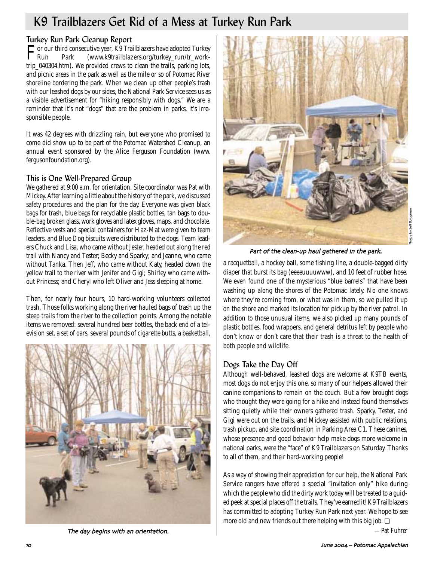## K9 Trailblazers Get Rid of a Mess at Turkey Run Park

## Turkey Run Park Cleanup Report

For our third consecutive year, K9 Trailblazers have adopted Turkey Run Park (www.k9trailblazers.org/turkey\_run/tr\_worktrip\_040304.htm). We provided crews to clean the trails, parking lots, and picnic areas in the park as well as the mile or so of Potomac River shoreline bordering the park. When we clean up other people's trash with our leashed dogs by our sides, the National Park Service sees us as a visible advertisement for "hiking responsibly with dogs." We are a reminder that it's not "dogs" that are the problem in parks, it's irresponsible people.

It was 42 degrees with drizzling rain, but everyone who promised to come did show up to be part of the Potomac Watershed Cleanup, an annual event sponsored by the Alice Ferguson Foundation (www. fergusonfoundation.org).

## This is One Well-Prepared Group

We gathered at 9:00 a.m. for orientation. Site coordinator was Pat with Mickey. After learning a little about the history of the park, we discussed safety procedures and the plan for the day. Everyone was given black bags for trash, blue bags for recyclable plastic bottles, tan bags to double-bag broken glass, work gloves and latex gloves, maps, and chocolate. Reflective vests and special containers for Haz-Mat were given to team leaders, and Blue Dog biscuits were distributed to the dogs. Team leaders Chuck and Lisa, who came without Jester, headed out along the red trail with Nancy and Tester; Becky and Sparky; and Jeanne, who came without Tanka. Then Jeff, who came without Katy, headed down the yellow trail to the river with Jenifer and Gigi; Shirley who came without Princess; and Cheryl who left Oliver and Jess sleeping at home.

Then, for nearly four hours, 10 hard-working volunteers collected trash. Those folks working along the river hauled bags of trash up the steep trails from the river to the collection points. Among the notable items we removed: several hundred beer bottles, the back end of a television set, a set of oars, several pounds of cigarette butts, a basketball,





Part of the clean-up haul gathered in the park.

a racquetball, a hockey ball, some fishing line, a double-bagged dirty diaper that burst its bag (eeeeuuuuwww), and 10 feet of rubber hose. We even found one of the mysterious "blue barrels" that have been washing up along the shores of the Potomac lately. No one knows where they're coming from, or what was in them, so we pulled it up on the shore and marked its location for pickup by the river patrol. In addition to those unusual items, we also picked up many pounds of plastic bottles, food wrappers, and general detritus left by people who don't know or don't care that their trash is a threat to the health of both people and wildlife.

## Dogs Take the Day Off

Although well-behaved, leashed dogs are welcome at K9TB events, most dogs do not enjoy this one, so many of our helpers allowed their canine companions to remain on the couch. But a few brought dogs who thought they were going for a hike and instead found themselves sitting quietly while their owners gathered trash. Sparky, Tester, and Gigi were out on the trails, and Mickey assisted with public relations, trash pickup, and site coordination in Parking Area C1. These canines, whose presence and good behavior help make dogs more welcome in national parks, were the "face" of K9 Trailblazers on Saturday. Thanks to all of them, and their hard-working people!

As a way of showing their appreciation for our help, the National Park Service rangers have offered a special "invitation only" hike during which the people who did the dirty work today will be treated to a guided peek at special places off the trails. They've earned it! K9 Trailblazers has committed to adopting Turkey Run Park next year. We hope to see more old and new friends out there helping with this big job. ❏

*—Pat Fuhrer*

The day begins with an orientation.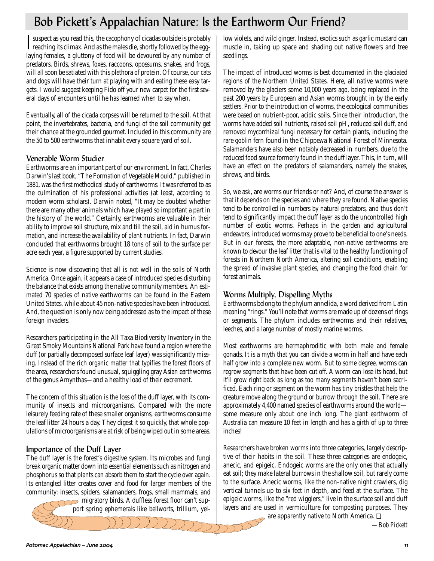## Bob Pickett's Appalachian Nature: Is the Earthworm Our Friend?

I suspect as you read this, the cacophony of cicadas outside is probably<br>reaching its climax. And as the males die, shortly followed by the eggreaching its climax. And as the males die, shortly followed by the egglaying females, a gluttony of food will be devoured by any number of predators. Birds, shrews, foxes, raccoons, opossums, snakes, and frogs, will all soon be satiated with this plethora of protein. Of course, our cats and dogs will have their turn at playing with and eating these easy targets. I would suggest keeping Fido off your new carpet for the first several days of encounters until he has learned when to say when.

Eventually, all of the cicada corpses will be returned to the soil. At that point, the invertebrates, bacteria, and fungi of the soil community get their chance at the grounded gourmet. Included in this community are the 50 to 500 earthworms that inhabit every square yard of soil.

## Venerable Worm Studier

Earthworms are an important part of our environment. In fact, Charles Darwin's last book, "The Formation of Vegetable Mould," published in 1881, was the first methodical study of earthworms. It was referred to as the culmination of his professional activities (at least, according to modern worm scholars). Darwin noted, "It may be doubted whether there are many other animals which have played so important a part in the history of the world." Certainly, earthworms are valuable in their ability to improve soil structure, mix and till the soil, aid in humus formation, and increase the availability of plant nutrients. In fact, Darwin concluded that earthworms brought 18 tons of soil to the surface per acre each year, a figure supported by current studies.

Science is now discovering that all is not well in the soils of North America. Once again, it appears a case of introduced species disturbing the balance that exists among the native community members. An estimated 70 species of native earthworms can be found in the Eastern United States, while about 45 non-native species have been introduced. And, the question is only now being addressed as to the impact of these foreign invaders.

Researchers participating in the All Taxa Biodiversity Inventory in the Great Smoky Mountains National Park have found a region where the duff (or partially decomposed surface leaf layer) was significantly missing. Instead of the rich organic matter that typifies the forest floors of the area, researchers found unusual, squiggling gray Asian earthworms of the genus Amynthas—and a healthy load of their excrement.

The concern of this situation is the loss of the duff layer, with its community of insects and microorganisms. Compared with the more leisurely feeding rate of these smaller organisms, earthworms consume the leaf litter 24 hours a day. They digest it so quickly, that whole populations of microorganisms are at risk of being wiped out in some areas.

## Importance of the Duff Layer

The duff layer is the forest's digestive system. Its microbes and fungi break organic matter down into essential elements such as nitrogen and phosphorus so that plants can absorb them to start the cycle over again. Its entangled litter creates cover and food for larger members of the community: insects, spiders, salamanders, frogs, small mammals, and

migratory birds. A duffless forest floor can't support spring ephemerals like bellworts, trillium, yellow violets, and wild ginger. Instead, exotics such as garlic mustard can muscle in, taking up space and shading out native flowers and tree seedlings.

The impact of introduced worms is best documented in the glaciated regions of the Northern United States. Here, all native worms were removed by the glaciers some 10,000 years ago, being replaced in the past 200 years by European and Asian worms brought in by the early settlers. Prior to the introduction of worms, the ecological communities were based on nutrient-poor, acidic soils. Since their introduction, the worms have added soil nutrients, raised soil pH, reduced soil duff, and removed mycorrhizal fungi necessary for certain plants, including the rare goblin fern found in the Chippewa National Forest of Minnesota. Salamanders have also been notably decreased in numbers, due to the reduced food source formerly found in the duff layer. This, in turn, will have an effect on the predators of salamanders, namely the snakes, shrews, and birds.

So, we ask, are worms our friends or not? And, of course the answer is that it depends on the species and where they are found. Native species tend to be controlled in numbers by natural predators, and thus don't tend to significantly impact the duff layer as do the uncontrolled high number of exotic worms. Perhaps in the garden and agricultural endeavors, introduced worms may prove to be beneficial to one's needs. But in our forests, the more adaptable, non-native earthworms are known to devour the leaf litter that is vital to the healthy functioning of forests in Northern North America, altering soil conditions, enabling the spread of invasive plant species, and changing the food chain for forest animals.

## Worms Multiply, Dispelling Myths

Earthworms belong to the phylum annelida, a word derived from Latin meaning "rings." You'll note that worms are made up of dozens of rings or segments. The phylum includes earthworms and their relatives, leeches, and a large number of mostly marine worms.

Most earthworms are hermaphroditic with both male and female gonads. It is a myth that you can divide a worm in half and have each half grow into a complete new worm. But to some degree, worms can regrow segments that have been cut off. A worm can lose its head, but it'll grow right back as long as too many segments haven't been sacrificed. Each ring or segment on the worm has tiny bristles that help the creature move along the ground or burrow through the soil. There are approximately 4,400 named species of earthworms around the world some measure only about one inch long. The giant earthworm of Australia can measure 10 feet in length and has a girth of up to three inches!

Researchers have broken worms into three categories, largely descriptive of their habits in the soil. These three categories are endogeic, anecic, and epigeic. Endogeic worms are the only ones that actually eat soil; they make lateral burrows in the shallow soil, but rarely come to the surface. Anecic worms, like the non-native night crawlers, dig vertical tunnels up to six feet in depth, and feed at the surface. The epigeic worms, like the "red wigglers," live in the surface soil and duff layers and are used in vermiculture for composting purposes. They are apparently native to North America. <del>❏</del>

*—Bob Pickett*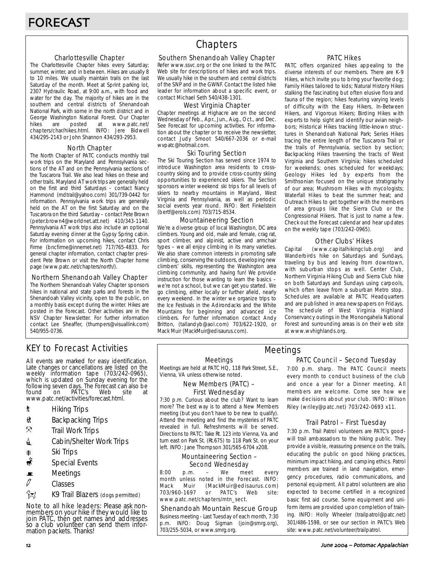#### Charlottesville Chapter

The Charlottesville Chapter hikes every Saturday; summer, winter, and in between. Hikes are usually 8 to 10 miles. We usually maintain trails on the last Saturday of the month. Meet at Sprint parking lot, 2307 Hydraulic Road, at 9:00 a.m., with food and water for the day. The majority of hikes are in the southern and central districts of Shenandoah National Park, with some in the north district and in George Washington National Forest. Our Chapter<br>hikes are posted at www.patc.net/ hikes are posted at www.patc.net/ chapters/char/hikes.html. INFO: Jere Bidwell 434/295-2143 or John Shannon 434/293-2953.

#### North Chapter

The North Chapter of PATC conducts monthly trail work trips on the Maryland and Pennsylvania sections of the AT and on the Pennsylvania sections of the Tuscarora Trail. We also lead hikes on these and other trails. Maryland AT work trips are generally held on the first and third Saturdays – contact Nancy Hammond (mdtrail@yahoo.com) 301/739-0442 for information. Pennsylvania work trips are generally held on the AT on the first Saturday and on the Tuscarora on the third Saturday – contact Pete Brown (peter.brown4@worldnet.att.net) 410/343-1140. Pennsylvania AT work trips also include an optional Saturday evening dinner at the Gypsy Spring cabin. For information on upcoming hikes, contact Chris Firme (bncfirme@innernet.net) 717/765-4833. For general chapter information, contact chapter president Pete Brown or visit the North Chapter home page (www.patc.net/chapters/north/).

#### Northern Shenandoah Valley Chapter

The Northern Shenandoah Valley Chapter sponsors hikes in national and state parks and forests in the Shenandoah Valley vicinity, open to the public, on a monthly basis except during the winter. Hikes are posted in the Forecast. Other activities are in the NSV Chapter Newsletter. For further information contact Lee Sheaffer, (thumpers@visuallink.com) 540/955-0736.

## **Chapters**

#### Southern Shenandoah Valley Chapter

Refer www.ssvc.org or the one linked to the PATC Web site for descriptions of hikes and work trips. We usually hike in the southern and central districts of the SNP and in the GWNF. Contact the listed hike leader for information about a specific event, or contact Michael Seth 540/438-1301.

#### West Virginia Chapter

Chapter meetings at Highacre are on the second Wednesday of Feb., Apr., Jun., Aug., Oct., and Dec. See Forecast for upcoming activities. For information about the chapter or to receive the newsletter, contact Judy Smoot 540/667-2036 or e-mail wvpatc@hotmail.com.

#### Ski Touring Section

The Ski Touring Section has served since 1974 to introduce Washington area residents to crosscountry skiing and to provide cross-country skiing opportunities to experienced skiers. The Section sponsors winter weekend ski trips for all levels of skiers to nearby mountains in Maryland, West Virginia and Pennsylvania, as well as periodic social events year round. INFO: Bert Finkelstein (bertf@erols.com) 703/715-8534.

#### Mountaineering Section

We're a diverse group of local Washington, DC area climbers. Young and old, male and female, crag rat, sport climber, and alpinist, active and armchair types – we all enjoy climbing in its many varieties. We also share common interests in promoting safe climbing, conserving the outdoors, developing new climbers' skills, representing the Washington area climbing community, and having fun! We provide instruction for those wanting to learn the basics – we're not a school, but we can get you started. We go climbing, either locally or further afield, nearly every weekend. In the winter we organize trips to the Ice Festivals in the Adirondacks and the White Mountains for beginning and advanced ice climbers. For further information contact Andy Britton, (tallandyb@aol.com) 703/622-1920, or Mack Muir (MackMuir@edisaurus.com).

#### PATC Hikes

PATC offers organized hikes appealing to the diverse interests of our members. There are K-9 Hikes, which invite you to bring your favorite dog; Family Hikes tailored to kids; Natural History Hikes stalking the fascinating but often elusive flora and fauna of the region; hikes featuring varying levels of difficulty with the Easy Hikers, In-Between Hikers, and Vigorous Hikers; Birding Hikes with experts to help sight and identify our avian neighbors; Historical Hikes tracking little-known structures in Shenandoah National Park; Series Hikes tracing the entire length of the Tuscarora Trail or the trails of Pennsylvania, section by section; Backpacking Hikes traversing the tracts of West Virginia and Southern Virginia; hikes scheduled for weekends; ones scheduled for weekdays; Geology Hikes led by experts from the Smithsonian focused on the unique stratigraphy of our area; Mushroom Hikes with mycologists; Waterfall Hikes to beat the summer heat; and Outreach Hikes to get together with the members of area groups like the Sierra Club or the Congressional Hikers. That is just to name a few. Check out the Forecast calendar and hear updates on the weekly tape (703/242-0965).

### Other Clubs' Hikes

Capital (www.capitalhikingclub.org) and Wanderbirds hike on Saturdays and Sundays, traveling by bus and leaving from downtown, with suburban stops as well. Center Club, Northern Virginia Hiking Club and Sierra Club hike on both Saturdays and Sundays using carpools, which often leave from a suburban Metro stop. Schedules are available at PATC Headquarters and are published in area newspapers on Fridays. The schedule of West Virginia Highland Conservancy outings in the Monongahela National Forest and surrounding areas is on their web site at www.wvhighlands.org.

## KEY to Forecast Activities

All events are marked for easy identification. Late changes or cancellations are listed on the weekly information tape (703/242-0965), which is updated on Sunday evening for the following seven days. The Forecast can also be<br>found on PATC's Web site at PÁTC's www.patc.net/activities/forecast.html.

- **\*** Hiking Trips
- \* Backpacking Trips
- $\mathcal{R}$  Trail Work Trips
- **i** Cabin/Shelter Work Trips
- **A** Ski Trips
- Special Events
- $\blacksquare$  Meetings
- $\varnothing$  Classes
- $\hat{}$  $\hat{}$  $\hat{}$  $\hat{}$

Note to all hike leaders: Please ask nonmembers on your hike if they would like to join PATC, then get names and addresses so a club volunteer can send them information packets. Thanks!

#### Meetings

Meetings are held at PATC HQ, 118 Park Street, S.E., Vienna, VA unless otherwise noted.

#### New Members (PATC) – First Wednesday

7:30 p.m. Curious about the club? Want to learn more? The best way is to attend a New Members meeting (but you don't have to be new to qualify). Attend the meeting and find the mysteries of PATC revealed in full. Refreshments will be served. Directions to PATC: Take Rt. 123 into Vienna, Va. and turn east on Park St. (Rt.675) to 118 Park St. on your left. INFO: Jane Thompson 301/565-6704 x208.

### Mountaineering Section – Second Wednesday

8:00 p.m. – We meet every month unless noted in the Forecast. INFO: Mack Muir (MackMuir@edisaurus.com)<br>703/960-1697 or PATC's Web site: 703/960-1697 or PATC's Web site: www.patc.net/chapters/mtn\_sect.

#### Shenandoah Mountain Rescue Group

Business meeting - Last Tuesday of each month, 7:30 p.m. INFO: Doug Sigman (join@smrg.org), 703/255-5034, or www.smrg.org.

### PATC Council – Second Tuesday Meetings

7:00 p.m. sharp. The PATC Council meets every month to conduct business of the club and once a year for a Dinner meeting. All members are welcome. Come see how we make decisions about your club. INFO: Wilson Riley (wriley@patc.net) 703/242-0693 x11.

### Trail Patrol – First Tuesday

7:30 p.m. Trail Patrol volunteers are PATC's goodwill trail ambassadors to the hiking public. They provide a visible, reassuring presence on the trails, educating the public on good hiking practices, minimum impact hiking, and camping ethics. Patrol members are trained in land navigation, emergency procedures, radio communications, and personal equipment. All patrol volunteers are also expected to become certified in a recognized basic first aid course. Some equipment and uniform items are provided upon completion of training. INFO: Holly Wheeler (trailpatrol@patc.net) 301/486-1598, or see our section in PATC's Web site: www.patc.net/volunteer/trailpatrol.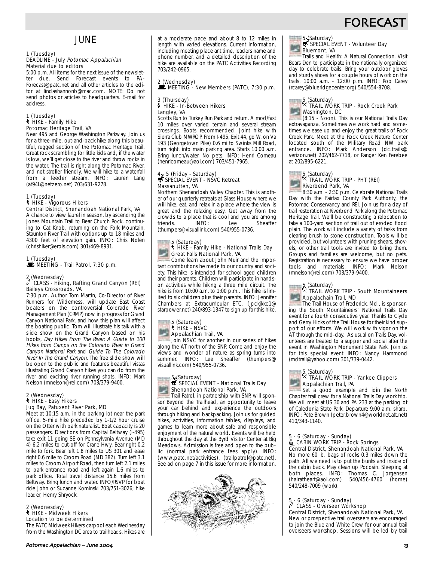## **FORECAS**

## **JUNE**

#### 1 (Tuesday) DEADLINE - July Potomac Appalachian Material due to editors

5:00 p.m. All items for the next issue of the newsletter due. Send Forecast events to PA-Forecast@patc.net and all other articles to the editor at lindashannonb@mac.com. NOTE: Do not send photos or articles to headquarters. E-mail for address.

#### 1 (Tuesday) ` HIKE - Family Hike Potomac Heritage Trail, VA

Near 495 and George Washington Parkway. Join us for a three-mile, out-and-back hike along this beautiful, rugged section of the Potomac Heritage Trail. Great rock scrambling for little kids and, if the water is low, we'll get close to the river and throw rocks in the water. The trail is right along the Potomac River, and not stroller friendly. We will hike to a waterfall from a feeder stream. INFO: Lauren Lang (at94L@netzero.net) 703/631-9278.

#### 1 (Tuesday)

### ` HIKE - Vigorous Hikers

Central District, Shenandoah National Park, VA A chance to view laurel in season, by ascending the Jones Mountain Trail to Bear Church Rock, continuing to Cat Knob, returning on the Fork Mountain, Staunton River Trail with options up to 18 miles and 4300 feet of elevation gain. INFO: Chris Nolen (chrishiker@erols.com) 301/469-8931.

1 (Tuesday)

Trail Patrol, 7:30 p.m.

### 2 (Wednesday) a CLASS - Hiking, Rafting Grand Canyon (REI) Baileys Crossroads, VA

7:30 p.m. Author Tom Martin, Co-Director of River Runners for Wilderness, will update East Coast boaters on the controversial Colorado River Management Plan (CRMP) now in progress for Grand Canyon National Park, and how this plan will affect the boating public. Tom will illustrate his talk with a slide show on the Grand Canyon based on his books, Day Hikes From The River: A Guide to 100 Hikes from Camps on the Colorado River in Grand Canyon National Park and Guide To The Colorado River In The Grand Canyon. The free slide show will be open to the public and features beautiful vistas illustrating Grand Canyon hikes you can do from the river and exciting river running shots. INFO: Mark Nelson (mnelson@rei.com) 703/379-9400.

#### 2 (Wednesday) ` HIKE - Easy Hikers Jug Bay, Patuxent River Park, MD

Meet at 10:15 a.m. in the parking lot near the park office. 5-mile hike preceded by 1-1/2 hour cruise on the Otter with park naturalist. Boat capacity is 20 passengers. Directions from Capital Beltway (I-495) take exit 11 going SE on Pennsylvania Avenue (MD 4) 6.2 miles to cut-off for Crane Hwy. Bear right 0.2 mile to fork. Bear left 1.8 miles to US 301 and ease right 0.6 mile to Croom Road (MD 382). Turn left 3.1 miles to Croom Airport Road, then turn left 2.1 miles to park entrance road and left again 1.6 miles to park office. Total travel distance 15.6 miles from Beltway. Bring lunch and water. INFO/RSVP for boat ride John or Suzanne Kominski 703/751-3026; hike leader, Henry Shryock.

#### 2 (Wednesday) ` HIKE - Midweek Hikers Location to be determined

The PATC Midweek Hikers carpool each Wednesday from the Washington DC area to trailheads. Hikes are at a moderate pace and about 8 to 12 miles in length with varied elevations. Current information, including meeting place ant time, leaders name and phone number, and a detailed description of the hike are available on the PATC Activities Recording 703/242-0965.

### 2 (Wednesday)  $\mathbf{\dot{F}}$  MEETING - New Members (PATC), 7:30 p.m.

#### 3 (Thursday) ` HIKE - In-Between Hikers Langley, VA

Scotts Run to Turkey Run Park and return. A mod/fast 10 miles over varied terrain and several stream crossings. Boots recommended. Joint hike with Sierra Club MWROP. From I-495, Exit 44, go W. on Va 193 (Georgetown Pike) 0.6 mi to Swinks Mill Road, turn right. into main parking area. Starts 10:00 a.m. Bring lunch/water. No pets. INFO: Henri Comeau (henricomeau@aol.com) 703/451-7965.

## $4 \times 5$  (Friday - Saturday)<br>
SPECIAL EVENT - NSVC Retreat Massanutten, VA

Northern Shenandoah Valley Chapter. This is another of our quarterly retreats at Glass House where we will hike, eat, and relax in a place where the view is great and the relaxing easy. Get away from the crowds to a place that is cool and you are among friends. INFO: Lee Sheaffer (thumpers@visuallink.com) 540/955-0736.

## 5 (Saturday) ` HIKE - Family Hike - National Trails Day Great Falls National Park, VA

Come learn about John Muir and the important contributions he made to our country and society. This hike is intended for school aged children and their parents. Children will participate in handson activities while hiking a three mile circuit. The hike is from 10:00 a.m. to 1:00 p.m.. This hike is limited to six children plus their parents. INFO: Jennifer Chambers at Extracurricular ETC. (jpckjkkc1@ starpower.net) 240/893-1347 to sign up for this hike.

## 5 (Saturday) ` HIKE - NSVC **Appalachian Trail, VA**

Join NSVC for another in our series of hikes along the AT north of the SNP. Come and enjoy the views and wonder of nature as spring turns into summer. INFO: Lee Sheaffer (thumpers@ visuallink.com) 540/955-0736.

## 5 (Saturday)<br>SPECIAL EVENT - National Trails Day Shenandoah National Park, VA

Trail Patrol, in partnership with SNP, will sponsor Beyond the Trailhead, an opportunity to leave your car behind and experience the outdoors through hiking and backpacking. Join us for guided hikes, activities, information tables, displays, and games to learn more about safe and responsible enjoyment of the natural world. Events will be held throughout the day at the Byrd Visitor Center at Big Meadows. Admission is free and open to the public (normal park entrance fees apply). INFO: (www.patc.net/activities), (trailpatrol@patc.net). See ad on page 7 in this issue for more information.



## 5 (Saturday)<br>SPECIAL EVENT - Volunteer Day Bluemont, VA

Trails and Health: A Natural Connection. Visit Bears Den to participate in the nationally organized day to celebrate trails. Bring your outdoor gloves and sturdy shoes for a couple hours of work on the trails. 10:00 a.m. - 12:00 p.m. INFO: Rob Carey (rcarey@blueridgecenter.org) 540/554-8708.



### 5 (Saturday) . TRAIL WORK TRIP - Rock Creek Park Washington, DC

(8:15 - Noon). This is our National Trails Day extravaganza. Sometimes we work hard and sometimes we ease up and enjoy the great trails of Rock Creek Park. Meet at the Rock Creek Nature Center located south of the Military Road NW park entrance. INFO: Mark Anderson (dc.trails@ verizon.net) 202/462-7718, or Ranger Ken Ferebee at 202/895-6221.



## 5 (Saturday) . TRAIL WORK TRIP - PHT (REI) Riverbend Park, VA

8:30 a.m. - 2:30 p.m. Celebrate National Trails Day with the Fairfax County Park Authority, the Potomac Conservancy and REI. Join us for a day of trail restoration at Riverbend Park along the Potomac Heritage Trail. We'll be constructing a relocation to take a 100-yard section of trail out of eroded flood plain. The work will include a variety of tasks from clearing brush to stone construction. Tools will be provided, but volunteers with pruning shears, shovels, or other trail tools are invited to bring them. Groups and families are welcome, but no pets. Registration is necessary to ensure we have proper tools and materials. INFO: Mark Nelson (mnelson@rei.com) 703/379-9400.



### 5 (Saturday) . TRAIL WORK TRIP - South Mountaineers Appalachain Trail, MD

The Trail House of Frederick, Md., is sponsoring the South Mountaineers' National Trails Day event for a fourth consecutive year. Thanks to Clyde and Gerry Hicks of the Trail House for their kind support of our efforts. We will work with vigor on the AT through the mid-day. As usual on Trails Day, volunteers are treated to a supper and social after the event in Washington Monument State Park. Join us for this special event. INFO: Nancy Hammond (mdtrail@yahoo.com) 301/739-0442.

## 5 (Saturday) . TRAIL WORK TRIP - Yankee Clippers

**Appalachian Trail, PA** Set a good example and join the North Chapter trail crew for a National Trails Day work trip.

We will meet at US 30 and PA 233 at the parking lot of Caledonia State Park. Departure 9:00 a.m. sharp. INFO: Pete Brown (peter.brown4@worldnet.att.net) 410/343-1140.

## 5 - 6 (Saturday - Sunday)<br>LacaBIN WORK TRIP - Rock Springs Central District, Shenandoah National Park, VA

No more 60 lb. bags of rocks 0.3 miles down the path. All we need is to put the bunks and inside of the cabin back. May clean up Pocosin. Sleeping at both places. INFO: Thomas C. Jorgensen (hairatheart@aol.com) 540/456-4760 (home) 540/248-7009 (work).

### 5 - 6 (Saturday - Sunday) a CLASS - Overseer Workshop Central District, Shenandoah National Park, VA

New or prospective trail overseers are encouraged to join the Blue and White Crew for our annual trail overseers workshop. Sessions will be led by trail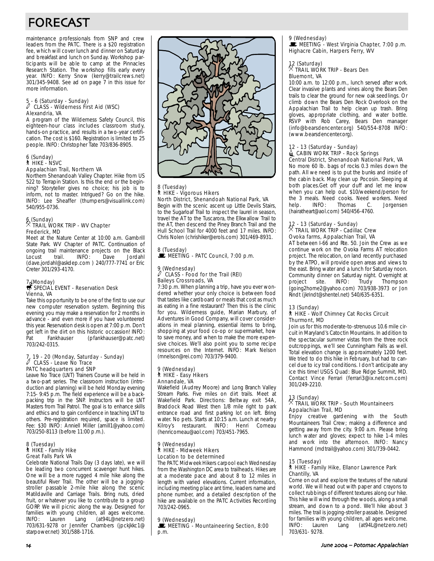# FORECAST

maintenance professionals from SNP and crew leaders from the PATC. There is a \$20 registration fee, which will cover lunch and dinner on Saturday and breakfast and lunch on Sunday. Workshop participants will be able to camp at the Pinnacles Research Station. The workshop fills early every year. INFO: Kerry Snow (kerry@trailcrews.net) 301/345-9408. See ad on page 7 in this issue for more information.

## 5 - 6 (Saturday - Sunday) a CLASS - Wilderness First Aid (WSC) Alexandria, VA

A program of the Wilderness Safety Council, this eighteen-hour class includes classroom study, hands-on practice, and results in a two-year certification. The cost is \$160. Registration is limited to 25 people. INFO: Christopher Tate 703/836-8905.

## 6 (Sunday) ` HIKE - NSVC Appalachian Trail, Northern VA

Northern Shenandoah Valley Chapter. Hike from US 522 to Terrapin Station. Is this the end or the beginning? Storyteller gives no choice; his job is to inform, not to master. Intrigued? Go on the hike. INFO: Lee Sheaffer (thumpers@visuallink.com) 540/955-0736.

#### 6 (Sunday) . TRAIL WORK TRIP - WV Chapter Frederick, MD

Meet at the Nature Center at 10:00 a.m. Gambrill State Park. WV Chapter of PATC. Continuation of ongoing trail maintenance projects on the Black Locust trail. INFO: Dave Jordahl (dave.jordahl@askdep.com ) 240/777-7741 or Eric Creter 301/293-4170.

## 7 <sub>t</sub>(Monday)<br>**s**SPECIAL EVENT - Reservation Desk Vienna, VA

Take this opportunity to be one of the first to use our new computer reservation system. Beginning this evening you may make a reservation for 2 months in advance - and even more if you have volunteered this year. Reservation desk is open at 7:00 p.m. Don't get left in the dirt on this historic occassion! INFO:<br>Pat Fankhauser (pfankhauser@patc.net) (pfankhauser@patc.net) 703/242-0315.

## 7, 19 - 20 (Monday, Saturday - Sunday) a CLASS - Leave No Trace PATC headquarters and SNP

Leave No Trace (LNT) Trainers Course will be held in a two-part series. The classroom instruction (introduction and planning) will be held Monday evening 7:15- 9:45 p.m. The field experience will be a backpacking trip in the SNP. Instructors will be LNT Masters from Trail Patrol. The goal is to enhance skills and ethics and to gain confidence in teaching LNT to others. Pre-registration required, space is limited. Fee: \$30 INFO: Anniell Miller (amill1@yahoo.com) 703/250-8113 (before 11:00 p.m.).

#### 8 (Tuesday) ` HIKE - Family Hike Great Falls Park VA

Celebrate National Trails Day (3 days late), we will be leading two concurrent scavenger hunt hikes. One will be a more rugged 4 mile hike along the beautiful River Trail. The other will be a joggingstroller passable 2-mile hike along the scenic Matildaville and Carriage Trails. Bring nuts, dried fruit, or whatever you like to contribute to a group GORP. We will picnic along the way. Designed for families with young children, all ages welcome. INFO: Lauren Lang (at94L@netzero.net) 703/631-9278 or Jennifer Chambers (jpckjkkc1@ starpower.net) 301/588-1716.



#### 8 (Tuesday) ` HIKE - Vigorous Hikers North District, Shenandoah National Park, VA

Begin with the scenic ascent up Little Devils Stairs, to the Sugarloaf Trail to inspect the laurel in season, travel the AT to the Tuscarora, the Elkwallow Trail to the AT, then descend the Piney Branch Trail and the Hull School Trail for 4000 feet and 17 miles. INFO: Chris Nolen (chrishiker@erols.com) 301/469-8931.

### 8 (Tuesday)  $\mathbf{\mathbf{\mathbf{\mathbb{R}}}}$  MEETING - PATC Council, 7:00 p.m.

#### 9 (Wednesday)<br>
<sup>2</sup> CLASS F CLASS - Food for the Trail (REI) Baileys Crossroads, VA

7:30 p.m. When planning a trip, have you ever wondered whether your only choice is between food that tastes like cardboard or meals that cost as much as eating in a fine restaurant? Then this is the clinic for you. Wilderness guide, Marian Marbury, of Adventures in Good Company, will cover considerations in meal planning, essential items to bring, shopping at your food co-op or supermarket, how to save money, and when to make the more expensive choices. We'll also point you to some recipe resources on the Internet. INFO: Mark Nelson (mnelson@rei.com) 703/379-9400.

#### 9 (Wednesday) ` HIKE - Easy Hikers Annandale, VA

Wakefield (Audrey Moore) and Long Branch Valley Stream Parks. Five miles on dirt trails. Meet at Wakefield Park. Directions: Beltway exit 54A, Braddock Road West then 1/8 mile right to park entrance road and first parking lot on left. Bring water. No pets. Starts at 10:15 a.m. Lunch at nearby Kilroy's restaurant. INFO: Henri Comeau (henricomeau@aol.com) 703/451-7965.

#### 9 (Wednesday) ` HIKE - Midweek Hikers Location to be determined

The PATC Midweek Hikers carpool each Wednesday from the Washington DC area to trailheads. Hikes are at a moderate pace and about 8 to 12 miles in length with varied elevations. Current information, including meeting place ant time, leaders name and phone number, and a detailed description of the hike are available on the PATC Activities Recording 703/242-0965.

#### 9 (Wednesday)

MEETING - Mountaineering Section, 8:00 p.m.

## 9 (Wednesday)<br>■ MEETING - West Virginia Chapter, 7:00 p.m. Highacre Cabin, Harpers Ferry, WV

#### 12 (Saturday)<br>X That . TRAIL WORK TRIP - Bears Den Bluemont, VA

10:00 a.m. to 12:00 p.m., lunch served after work. Clear invasive plants and vines along the Bears Den trails to clear the ground for new oak seedlings. Or climb down the Bears Den Rock Overlook on the Appalachian Trail to help clean up trash. Bring gloves, appropriate clothing, and water bottle. RSVP with Rob Carey, Bears Den manager (info@bearsdencenter.org) 540/554-8708 INFO: (www.bearsdencenter.org).

#### 12 - 13 (Saturday - Sunday) **E** CABIN WORK TRIP - Rock Springs Central District, Shenandoah National Park, VA

No more 60 lb. bags of rocks 0.3 miles down the path. All we need is to put the bunks and inside of the cabin back. May clean up Pocosin. Sleeping at both places.Get off your duff and let me know when you can help out. \$10/weekend/person for the 3 meals. Need cooks. Need workers. Need<br>help UNFO: Thomas C. Jorgensen help. INFO: Thomas C. Jorgensen (hairatheart@aol.com) 540/456-4760.

## 12 - 13 (Saturday - Sunday)<br><sup>X</sup> TRAIL WORK TRIP - Cadillac Crew Ovoka farms, Appalachian Trail, VA

AT between I-66 and Rte. 50. Join the Crew as we continue work on the Ovoka Farms AT relocation project. The relocation, on land recently purchased by the ATPO, will provide open areas and views to the east. Bring water and a lunch for Saturday noon. Community dinner on Saturday night. Overnight at<br>project site. INFO: Trudy Thompson site. INFO: Trudy Thompson (going2home2@yahoo.com) 703/938-3973 or Jon Rindt (jkrindt@shentel.net) 540/635-6351.

### 13 (Sunday)<br>┆ HIKE - Wolf Chimney Cat Rocks Circuit Thurmont, MD

Join us for this moderate-to-strenuous 10.6 mile circuit in Maryland's Catoctin Mountains. In addition to the spectacular summer vistas from the three rock outcroppings, we'll see Cunningham Falls as well. Total elevation change is approximately 1200 feet. We tried to do this hike in February, but had to cancel due to icy trail conditions. I don't anticipate any ice this time! USGS Quad: Blue Ridge Summit, MD. Contact Vince Ferrari (ferrari3@ix.netcom.com) 301/249-2210.

### 13 (Sunday) . TRAIL WORK TRIP - South Mountaineers Appalachian Trail, MD

Enjoy creative gardening with the South Mountaineers Trail Crew; making a difference and getting away from the city. 9:00 a.m. Please bring lunch water and gloves; expect to hike 1-4 miles and work into the afternoon. INFO: Nancy Hammond (mdtrail@yahoo.com) 301/739-0442.

### 15 (Tuesday)

#### ` HIKE - Family Hike, Ellanor Lawrence Park Chantilly, VA

Come on out and explore the textures of the natural world. We will head out with paper and crayons to collect rubbings of different textures along our hike. This hike will wind through the woods, along a small stream, and down to a pond. We'll hike about 3 miles. The trail is jogging-stroller passable. Designed for families with young children, all ages welcome.<br>INFO: Lauren Lang (at94L@netzero.net) Lauren Lang (at94L@netzero.net) 703/631- 9278.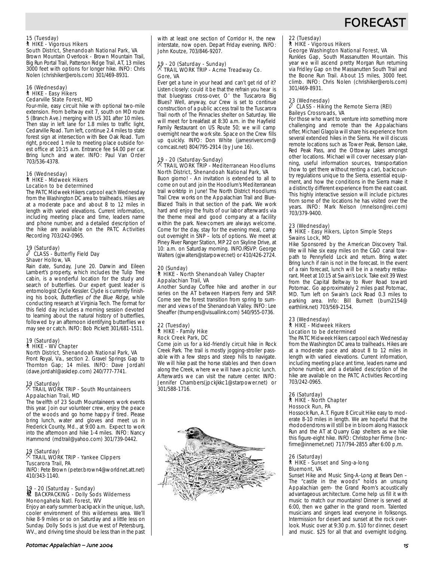## **FORECAS**

## 15 (Tuesday) ` HIKE - Vigorous Hikers South District, Shenandoah National Park, VA

Brown Mountain Overlook - Brown Mountain Trail, Big Run Portal Trail, Patterson Ridge Trail, AT, 13 miles 3000 feet with options for longer hike. INFO: Chris Nolen (chrishiker@erols.com) 301/469-8931.

#### 16 (Wednesday) ` HIKE - Easy Hikers Cedarville State Forest, MD

Four-mile, easy circuit hike with optional two-mile extension. From beltway exit 7, south on MD route 5 (Branch Ave.) merging with US 301 after 10 miles. Then stay in left lane for 1.8 miles to traffic light, Cedarville Road. Turn left, continue 2.4 miles to state forest sign at intersection with Bee Oak Road. Turn right, proceed 1 mile to meeting place outside forest office at 10:15 a.m. Entrance fee \$4.00 per car. Bring lunch and water. INFO: Paul Van Order 703/536-4378.

#### 16 (Wednesday) ` HIKE - Midweek Hikers Location to be determined

The PATC Midweek Hikers carpool each Wednesday from the Washington DC area to trailheads. Hikes are at a moderate pace and about 8 to 12 miles in length with varied elevations. Current information, including meeting place and time, leaders name and phone number, and a detailed description of the hike are available on the PATC Activities Recording 703/242-0965.

## 19 (Saturday) a CLASS - Butterfly Field Day Shaver Hollow, VA

Rain date, Sunday, June 20. Darwin and Eileen Lambert's property, which includes the Tulip Tree cabin, is a wonderful location for the study and search of butterflies. Our expert guest leader is entomologist Clyde Kessler. Clyde is currently finishing his book, Butterflies of the Blue Ridge, while conducting research at Virginia Tech. The format for this field day includes a morning session devoted to learning about the natural history of butterflies, followed by an afternoon identifying butterflies we may see or catch. INFO: Bob Pickett 301/681-1511.

### 19 (Saturday) ` HIKE - WV Chapter

North District, Shenandoah National Park, VA Front Royal, Va., section 2. Gravel Springs Gap to Thornton Gap; 14 miles. INFO: Dave Jordahl (dave.jordahl@askdep.com) 240/777-7741.

## 19 (Saturday) . TRAIL WORK TRIP - South Mountaineers Appalachian Trail, MD

The twelfth of 23 South Mountaineers work events this year. Join our volunteer crew, enjoy the peace of the woods and go home happy if tired. Please bring lunch, water and gloves and meet us in Frederick County, Md., at 9:00 a.m. Expect to work into the afternoon and hike 1-4 miles. INFO: Nancy Hammond (mdtrail@yahoo.com) 301/739-0442.

## 19 (Saturday) . TRAIL WORK TRIP - Yankee Clippers Tuscarora Trail, PA

INFO: Pete Brown (peter.brown4@worldnet.att.net) 410/343-1140.

## 19 - 20 (Saturday - Sunday)<br>M BACKPACKING - Dolly Sods Wilderness Monongahela Natl. Forest, WV

Enjoy an early summer backpack in the unique, lush, cooler environment of this wilderness area. We'll hike 8-9 miles or so on Saturday and a little less on Sunday. Dolly Sods is just due west of Petersburg, WV., and driving time should be less than in the past with at least one section of Corridor H, the new interstate, now open. Depart Friday evening. INFO: John Koutze, 703/846-9207.

## 19 - 20 (Saturday - Sunday) . TRAIL WORK TRIP - Acme Treadway Co.

## Gore, VA

Ever get a tune in your head and can't get rid of it? Listen closely: could it be that the refrain you hear is that bluegrass cross-over, O' the Tuscarora Big Blues? Well, anyway, our Crew is set to continue construction of a public access trail to the Tuscarora Trail north of The Pinnacles shelter on Saturday. We will meet for breakfast at 8:30 a.m. in the Hayfield Family Restaurant on US Route 50; we will camp overnight near the work site. Space on the Crew fills up quickly. INFO: Don White (jamesrivercom@ comcast.net) 804/795-2914 (by June 16).

#### 19 - 20 (Saturday-Sunday)  $\%$  TRAIL WORK TRIP - Mediterranean Hoodlums North District, Shenandoah National Park, VA

Buon giorno! - An invitation is extended to all to come on out and join the Hoodlum's Mediterranean trail worktrip in June! The North District Hoodlums Trail Crew works on the Appalachian Trail and Blue-Blazed Trails in that section of the park. We work hard and enjoy the fruits of our labor afterwards via the theme meal and good company at a facility within the park. Newcomers are always welcome. Come for the day, stay for the evening meal, camp out overnight in SNP – lots of options. We meet at Piney River Ranger Station, MP 22 on Skyline Drive, at 10: a.m. on Saturday morning. INFO/RSVP: George Walters (gjwalters@starpower.net) or 410/426-2724.

#### 20 (Sunday) ` HIKE - North Shenandoah Valley Chapter Appalachian Trail, VA

Another Sunday Coffee hike and another in our series on the AT between Harpers Ferry and SNP. Come see the forest transition from spring to summer and views of the Shenandoah Valley. INFO: Lee Sheaffer (thumpers@visuallink.com) 540/955-0736.

#### 22 (Tuesday) ` HIKE - Family Hike Rock Creek Park, DC

Come join us for a kid-friendly circuit hike in Rock Creek Park. The trail is mostly jogging-stroller passable with a few steps and steep hills to navigate. We will hike past the horse stables and then down along the Creek, where we will have a picnic lunch. Afterwards we can visit the nature center. INFO: Jennifer Chambers(jpckjkkc1@starpower.net) or 301/588-1716.



# 22 (Tuesday) ` HIKE - Vigorous Hikers

George Washington National Forest, VA

Runkles Gap, South Massanutten Mountain. This year we will ascend pretty Morgan Run returning via Fridley Gap on the Massanutten South Trail and the Boone Run Trail. About 15 miles, 3000 feet. climb. INFO: Chris Nolen (chrishiker@erols.com) 301/469-8931.

#### 23 (Wednesday)<br>2 CLASS a CLASS - Hiking the Remote Sierra (REI) Baileys Crossroads, VA

For those who want to venture into something more challenging and remote than the Appalachians offer, Michael Glagola will share his experience from several extended hikes in the Sierra. He will discuss remote locations such as Tower Peak, Benson Lake, Red Peak Pass, and the Ottoway Lakes amongst other locations. Michael will cover necessary planning, useful information sources, transportation (how to get there without renting a car), backcountry regulations unique to the Sierra, essential equipment, and how the conditions in the Sierra make it a distinctly different experience from the east coast. This highly interactive session will include pictures from some of the locations he has visited over the years. INFO: Mark Nelson (mnelson@rei.com) 703/379-9400.

### 23 (Wednesday)

#### ` HIKE - Easy Hikers, Lipton Simple Steps Swains Lock, MD

Hike Sponsored by the American Discovery Trail. We will hike six easy miles on the C&O canal towpath to Pennyfield Lock and return. Bring water. Bring lunch if rain is not in the forecast. In the event of a rain forecast, lunch will be in a nearby restaurant. Meet at 10:15 at Swain's Lock. Take exit 39 West from the Capital Beltway to River Road toward Potomac. Go approximately 2 miles past Potomac, MD. Turn left on Swain's Lock Road 0.3 miles to parking area. Info: Bill Burnett (burn2154@ earthlink.net) 703/569-2154.

#### 23 (Wednesday) ` HIKE - Midweek Hikers Location to be determined

The PATC Midweek Hikers carpool each Wednesday from the Washington DC area to trailheads. Hikes are at a moderate pace and about 8 to 12 miles in length with varied elevations. Current information, including meeting place ant time, leaders name and phone number, and a detailed description of the hike are available on the PATC Activities Recording 703/242-0965.

#### 26 (Saturday) ` HIKE - North Chapter Hossock Run, PA

Hossock Run, A.T. Figure 8 Circuit Hike easy to moderate 8-10 miles in length. We are hopeful that the rhododendrons will still be in bloom along Hassock Run and the AT at Quarry Gap shelters as we hike this figure-eight hike. INFO: Christopher Firme (bncfirme@innernet.net) 717/794-2855 after 6:00 p.m.

## 26 (Saturday) ` HIKE - Sunset and Sing-a-long

## Bluemont, VA

Sunset Hike and Music Sing-A-Long at Bears Den – The "castle in the woods" holds an unsung Appalachian gem- the Grand Room's acoustically advantageous architecture. Come help us fill it with music to match our mountains! Dinner is served at 6:00, then we gather in the grand room. Talented musicians and singers lead everyone in folksongs. Intermission for desert and sunset at the rock overlook. Music over at 9:30 p.m. \$10 for dinner, desert and music. \$25 for all that and overnight lodging.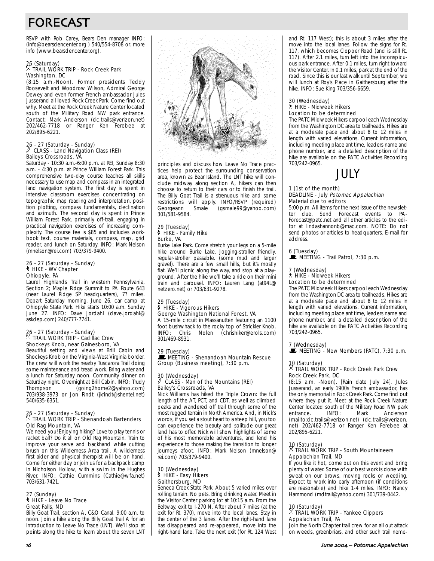# FORECAST

RSVP with Rob Carey, Bears Den manager INFO: (info@bearsdencenter.org ) 540/554-8708 or. more info (www.bearsdencenter.org).

## 26 (Saturday) . TRAIL WORK TRIP - Rock Creek Park Washington, DC

(8:15 a.m.-Noon). Former presidents Teddy Roosevelt and Woodrow Wilson, Admiral George Dewey and even former French ambassador Jules Jusserand all loved Rock Creek Park. Come find out why. Meet at the Rock Creek Nature Center located south of the Military Road NW park entrance. Contact: Mark Anderson (dc.trails@verizon.net) 202/462-7718 or Ranger Ken Ferebee at 202/895-6221.

## 26 - 27 (Saturday - Sunday) a CLASS - Land Navigation Class (REI) Baileys Crossroads, VA

Saturday - 10:30 a.m.-6:00 p.m. at REI, Sunday 8:30 a.m. - 4:30 p.m. at Prince William Forest Park. This comprehensive two-day course teaches all skills necessary to use map and compass in an integrated land navigation system. The first day is spent in intensive classroom exercises concentrating on topographic map reading and interpretation, position plotting, compass fundamentals, declination and azimuth. The second day is spent in Prince William Forest Park, primarily off-trail, engaging in practical navigation exercises of increasing complexity. The course fee is \$85 and includes workbook text, course materials, compass, map, grid reader, and lunch on Saturday. INFO: Mark Nelson (mnelson@rei.com) 703/379-9400.

## 26 - 27 (Saturday - Sunday) ` HIKE - WV Chapter Ohiopyle, PA

Laurel Highlands Trail in western Pennsylvania, Section 2; Maple Ridge Summit to PA Route 643 (near Laurel Ridge SP headquarters), 7? miles. Depart Saturday morning, June 26, car camp at Ohiopyle State Park. Hike starts 10:00 a.m. Sunday June 27. INFO: Dave Jordahl (dave.jordahl@ askdep.com) 240/777-7741.

## 26 - 27 (Saturday - Sunday) . TRAIL WORK TRIP - Cadillac Crew Shockeys Knob, near Gainesboro, VA

Beautiful setting and views at Brill Cabin and Shockeys Knob on the Virginia-West Virginia border. The crew will work the nearby Tuscarora Trail doing some maintenance and tread work. Bring water and a lunch for Saturday noon. Community dinner on Saturday night. Overnight at Brill Cabin. INFO: Trudy Thompson (going2home2@yahoo.com) 703/938-3973 or Jon Rindt (jkrindt@shentel.net) 540/635-6351.

## 26 - 27 (Saturday - Sunday) . TRAIL WORK TRIP - Shenandoah Bartenders Old Rag Mountain, VA

We need you! Enjoying hiking? Love to play tennis or racket ball? Do it all on Old Rag Mountain. Train to improve your serve and backhand while cutting brush on this Wilderness Area trail. A wilderness first aider and physical therapist will be on hand. Come for either day or join us for a backpack camp in Nicholson Hollow, with a swim in the Hughes River. INFO: Cathie Cummins (Cathie@wfa.net) 703/631-7421.

### 27 (Sunday) ` HIKE - Leave No Trace Great Falls, MD

Billy Goat Trail, section A, C&O Canal. 9:00 a.m. to noon. Join a hike along the Billy Goat Trail A for an introduction to Leave No Trace (LNT). We'll stop at points along the hike to learn about the seven LNT



principles and discuss how Leave No Trace practices help protect the surrounding conservation area, known as Bear Island. The LNT hike will conclude midway along section A, hikers can then choose to return to their cars or to finish the trail. The Billy Goat Trail is a strenuous hike and some restrictions will apply. INFO/RSVP (required)<br>Georgeann Smale (gsmale99@yahoo.com) (gsmale99@yahoo.com) 301/581-9584.

## 29 (Tuesday) ` HIKE - Family Hike Burke, VA

Burke Lake Park. Come stretch your legs on a 5-mile hike around Burke Lake. Jogging-stroller friendly, regular-stroller passable. (some mud and larger gravel). There are a few small hills, but it's mostly flat. We'll picnic along the way, and stop at a playground. After the hike we'll take a ride on their mini train and carousel. INFO: Lauren Lang (at94L@ netzero.net) or 703/631-9278.

#### 29 (Tuesday) ` HIKE - Vigorous Hikers George Washington National Forest, VA

A 15-mile circuit in Massanutten featuring an 1100 foot bushwhack to the rocky top of Strickler Knob.<br>INFO: Chris Nolen (chrishiker@erols.com) (chrishiker@erols.com) 301/469-8931.

#### 29 (Tuesday)

MEETING - Shenandoah Mountain Rescue Group (Business meeting), 7:30 p.m.

#### 30 (Wednesday) a CLASS - Man of the Mountains (REI) Bailey's Crossroads, VA

Nick Williams has hiked the Triple Crown: the full length of the AT, PCT, and CDT, as well as climbed peaks and wandered off trail through some of the most rugged terrain in North America. And, in Nick's words, if you set a stout heart to a steep hill, you too can experience the beauty and solitude our great land has to offer. Nick will show highlights of some of his most memorable adventures, and lend his experience to those making the transition to longer journeys afoot. INFO: Mark Nelson (mnelson@ rei.com) 703/379-9400.

#### 30 (Wednesday) ` HIKE - Easy Hikers Gaithersburg, MD

Seneca Creek State Park. About 5 varied miles over rolling terrain. No pets. Bring drinking water. Meet in the Visitor Center parking lot at 10:15 a.m. From the Beltway, exit to I-270 N. After about 7 miles (at the exit for Rt. 370), move into the local lanes. Stay in the center of the 3 lanes. After the right-hand lane has disappeared and re-appeared, move into the right-hand lane. Take the next exit (for Rt. 124 West

and Rt. 117 West); this is about 3 miles after the move into the local lanes. Follow the signs for Rt. 117, which becomes Clopper Road (and is still Rt. 117). After 2.1 miles, turn left into the inconspicuous park entrance. After 0.1 miles, turn right toward the Visitor Center. In 0.1 miles, park at the end of the road. Since this is our last walk until September, we will lunch at Roy's Place in Gaithersburg after the hike. INFO: Sue King 703/356-6659.

#### 30 (Wednesday) ` HIKE - Midweek Hikers Location to be determined

The PATC Midweek Hikers carpool each Wednesday from the Washington DC area to trailheads. Hikes are at a moderate pace and about 8 to 12 miles in length with varied elevations. Current information, including meeting place ant time, leaders name and phone number, and a detailed description of the hike are available on the PATC Activities Recording 703/242-0965.



#### 1 (1st of the month) DEADLINE - July Potomac Appalachian Material due to editors

5:00 p.m. All items for the next issue of the newsletter due. Send Forecast events to PA-Forecast@patc.net and all other articles to the editor at lindashannonb@mac.com. NOTE: Do not send photos or articles to headquarters. E-mail for address.

6 (Tuesday)<br>■ MEETING - Trail Patrol, 7:30 p.m.

#### (Wednesday)

` HIKE - Midweek Hikers

#### Location to be determined

The PATC Midweek Hikers carpool each Wednesday from the Washington DC area to trailheads. Hikes are at a moderate pace and about 8 to 12 miles in length with varied elevations. Current information, including meeting place ant time, leaders name and phone number, and a detailed description of the hike are available on the PATC Activities Recording 703/242-0965.

## 7 (Wednesday)<br>■ MEETING - New Members (PATC), 7:30 p.m.

### 10 (Saturday) . TRAIL WORK TRIP - Rock Creek Park Crew Rock Creek Park, DC

(8:15 a.m. -Noon). [Rain date July 24]. Jules Jusserand, an early 1900s French ambassador, has the only memorial in Rock Creek Park. Come find out where they put it. Meet at the Rock Creek Nature Center located south of the Military Road NW park<br>entrance. INFO: Mark Anderson entrance. INFO: Mark Anderson (mailto:dc.trails@verizon.net) (dc.trails@verizon. net) 202/462-7718 or Ranger Ken Ferebee at 202/895-6221.

### 10 (Saturday) . TRAIL WORK TRIP - South Mountaineers Appalachian Trail, MD

If you like it hot, come out on this event and bring plenty of water. Some of our best work is done with sweat on our brows, moving rocks or weeding. Expect to work into early afternoon (if conditions are reasonable) and hike 1-4 miles. INFO: Nancy Hammond (mdtrail@yahoo.com) 301/739-0442.

### 10 (Saturday) . TRAIL WORK TRIP - Yankee Clippers Appalachian Trail, PA

Join the North Chapter trail crew for an all out attack on weeds, greenbriars, and other such trail neme-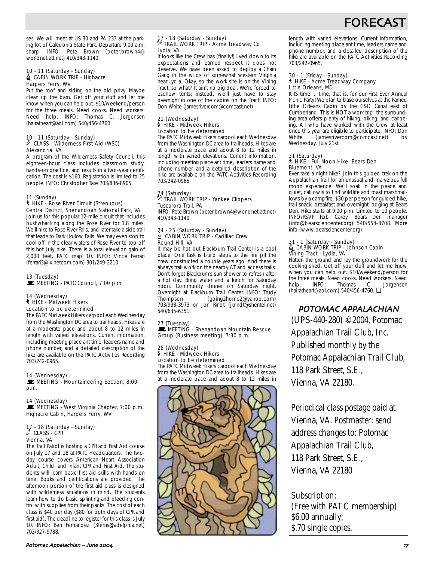## FORECAS

ses. We will meet at US 30 and PA 233 at the parking lot of Caledonia State Park. Departure 9:00 a.m. sharp. INFO: Pete Brown (peter.brown4@ worldnet.att.net) 410/343-1140.

#### 10 - 11 (Saturday - Sunday) CABIN WORK TRIP - Highacre Harpers Ferry, WV

Put the roof and siding on the old privy. Maybe clean up the barn. Get off your duff and let me know when you can help out. \$10/weekend/person for the three meals. Need cooks. Need workers. Need help. INFO: Thomas C. Jorgensen (hairatheart@aol.com) 540/456-4760.

## 10 - 11 (Saturday - Sunday) a CLASS - Wilderness First Aid (WSC) Alexandria, VA

A program of the Wilderness Safety Council, this eighteen-hour class includes classroom study, hands-on practice, and results in a two-year certification. The cost is \$160. Registration is limited to 25 people. INFO: Christopher Tate 703/836-8905.

#### 11 (Sunday)

#### ` HIKE - Rose River Circuit (Strenuous) Central District, Shenandoah National Park, VA

Join us for this popular 12-mile circuit that includes bushwhacking along the Rose River for 1.8 miles. We'll hike to Rose River Falls, and later take a side trail that leads to Dark Hollow Falls. We may even stop to cool off in the clear waters of Rose River to top off this hot July hike. There is a total elevation gain of 2,000 feet. PATC map 10. INFO: Vince Ferrari (ferrari3@ix.netcom.com) 301/249-2210.

#### 13 (Tuesday) MEETING - PATC Council, 7:00 p.m.

#### 14 (Wednesday) ` HIKE - Midweek Hikers Location to be determined

The PATC Midweek Hikers carpool each Wednesday from the Washington DC area to trailheads. Hikes are at a moderate pace and about 8 to 12 miles in length with varied elevations. Current information, including meeting place ant time, leaders name and phone number, and a detailed description of the hike are available on the PATC Activities Recording 703/242-0965.

#### 14 (Wednesday)

MEETING - Mountaineering Section, 8:00 p.m.

#### 14 (Wednesday)

MEETING - West Virginia Chapter, 7:00 p.m. Highacre Cabin, Harpers Ferry, WV

## 17 - 18 (Saturday - Sunday) a CLASS - CPR Vienna, VA

The Trail Patrol is hosting a CPR and First Aid course on July 17 and 18 at PATC Headquarters. The twoday course covers American Heart Association Adult, Child, and Infant CPR and First Aid. The students will learn basic first aid skills with hands on time. Books and certifications are provided. The afternoon portion of the first aid class is designed with wilderness situations in mind. The students learn how to do basic splinting and bleeding control with supplies from their packs. The cost of each class is \$40 per day (\$80 for both days of CPR and first aid). The deadline to register for this class is July 10. INFO: Ben Fernandez (3ferns@adelphia.net) 703/327-9788.

### 17 - 18 (Saturday - Sunday) . TRAIL WORK TRIP - Acme Treadway Co. Lydia, VA

It looks like the Crew has (finally!) lived down to its expectations and earned respect it does not deserve. We have been asked to deploy a Chain Gang in the wilds of somewhat western Virginia near Lydia. Okay, so the work site is on the Vining Tract; so what? It ain't no big deal. We're forced to eschew tents; instead, we'll just have to stay overnight in one of the cabins on the Tract. INFO: Don White (jamesrivercom@comcast.net).

#### 21 (Wednesday) ` HIKE - Midweek Hikers Location to be determined

The PATC Midweek Hikers carpool each Wednesday from the Washington DC area to trailheads. Hikes are at a moderate pace and about 8 to 12 miles in length with varied elevations. Current information, including meeting place ant time, leaders name and phone number, and a detailed description of the hike are available on the PATC Activities Recording 703/242-0965.

## 24 (Saturday) . TRAIL WORK TRIP - Yankee Clippers Tuscarora Trail, PA

INFO: Pete Brown (peter.brown4@worldnet.att.net) 410/343-1140.

#### 24 - 25 (Saturday - Sunday) d CABIN WORK TRIP - Cadillac Crew Round Hill, VA

It may be hot but Blackburn Trail Center is a cool place. One task is build steps to the fire pit the crew constructed a couple years ago. And there is always trail work on the nearby AT and access trails. Don't forget Blackburn's sun shower to refresh after a hot day. Bring water and a lunch for Saturday noon. Community dinner on Saturday night. Overnight at Blackburn Trail Center. INFO: Trudy<br>Thompson (going2home2@yahoo.com) (going2home2@yahoo.com) 703/938-3973 or Jon Rindt (jkrindt@shentel.net) 540/635-6351.

27 (Tuesday)<br>■ MEETING - Shenandoah Mountain Rescue Group (Business meeting), 7:30 p.m.

#### 28 (Wednesday) ` HIKE - Midweek Hikers Location to be determined

The PATC Midweek Hikers carpool each Wednesday from the Washington DC area to trailheads. Hikes are at a moderate pace and about 8 to 12 miles in



length with varied elevations. Current information, including meeting place ant time, leaders name and phone number, and a detailed description of the hike are available on the PATC Activities Recording 703/242-0965.

## 30 - 1 (Friday - Sunday) ` HIKE - Acme Treadway Company Little Orleans, MD

It IS time ... time, that is, for our First Ever Annual Picnic Party! We plan to base ourselves at the Famed Little Orleans Cabin by the C&O Canal east of Cumberland. This is NOT a work trip: the surrounding area offers plenty of hiking, biking, and canoeing. All who have worked with the Crew at least once this year are eligible to participate. INFO: Don<br>White (iamesrivercom@comcast net) by (jamesrivercom@comcast.net) by Wednesday, July 21st.

### 31 (Saturday) ` HIKE - Full Moon Hike, Bears Den Bluemont, VA

Ever take a night hike? Join this guided trek on the Appalachian Trail for an unusual and marvelous full moon experience. We'll soak in the peace and quiet, call owls to find wildlife and roast marshmallows by a campfire. \$30 per person for guided hike, trail snack, breakfast and overnight lodging at Bears Den. Hike starts at 9:00 p.m. Limited to 10 people. INFO/RSVP Rob Carey, Bears Den manager (info@bearsdencenter.org) 540/554-8708. More info (www.bearsdencenter.org).

## 31 - 1 (Saturday - Sunday)<br>⊜\_CABIN WORK TRIP - Johnson Cabin Vining Tract - Lydia, VA

Flatten the ground and lay the groundwork for the cooking shed. Get off your duff and let me know when you can help out. \$10/weekend/person for the three meals. Need cooks. Need workers. Need<br>help. INFO: Thomas C. Jorgensen Jorgensen (hairatheart@aol.com) 540/456-4760. ❏

POTOMAC APPALACHIAN (UPS-440-280) ©2004, Potomac Appalachian Trail Club, Inc. Published monthly by the Potomac Appalachian Trail Club, 118 Park Street, S.E., Vienna, VA 22180.

Periodical class postage paid at Vienna, VA. Postmaster: send address changes to: Potomac Appalachian Trail Club, 118 Park Street, S.E., Vienna, VA 22180

Subscription: (Free with PATC membership) \$6.00 annually; \$.70 single copies.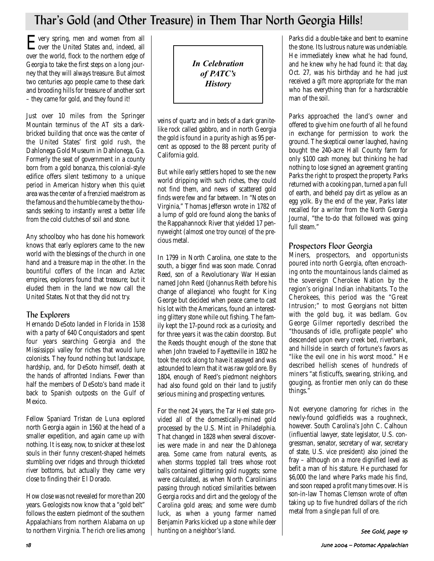## Thar's Gold (and Other Treasure) in Them Thar North Georgia Hills!

Every spring, men and women from all over the United States and, indeed, all over the world, flock to the northern edge of Georgia to take the first steps on a long journey that they will always treasure. But almost two centuries ago people came to these dark and brooding hills for treasure of another sort – they came for gold, and they found it!

Just over 10 miles from the Springer Mountain terminus of the AT sits a darkbricked building that once was the center of the United States' first gold rush, the Dahlonega Gold Museum in Dahlonega, Ga. Formerly the seat of government in a county born from a gold bonanza, this colonial-style edifice offers silent testimony to a unique period in American history when this quiet area was the center of a frenzied maelstrom as the famous and the humble came by the thousands seeking to instantly wrest a better life from the cold clutches of soil and stone.

Any schoolboy who has done his homework knows that early explorers came to the new world with the blessings of the church in one hand and a treasure map in the other. In the bountiful coffers of the Incan and Aztec empires, explorers found that treasure; but it eluded them in the land we now call the United States. Not that they did not try.

## The Explorers

Hernando DeSoto landed in Florida in 1538 with a party of 640 Conquistadors and spent four years searching Georgia and the Mississippi valley for riches that would lure colonists. They found nothing but landscape, hardship, and, for DeSoto himself, death at the hands of affronted Indians. Fewer than half the members of DeSoto's band made it back to Spanish outposts on the Gulf of Mexico.

Fellow Spaniard Tristan de Luna explored north Georgia again in 1560 at the head of a smaller expedition, and again came up with nothing. It is easy, now, to snicker at these lost souls in their funny crescent-shaped helmets stumbling over ridges and through thicketed river bottoms, but actually they came very close to finding their El Dorado.

How close was not revealed for more than 200 years. Geologists now know that a "gold belt" follows the eastern piedmont of the southern Appalachians from northern Alabama on up to northern Virginia. The rich ore lies among *In Celebration of PATC's History*

veins of quartz and in beds of a dark granitelike rock called gabbro, and in north Georgia the gold is found in a purity as high as 95 percent as opposed to the 88 percent purity of California gold.

But while early settlers hoped to see the new world dripping with such riches, they could not find them, and news of scattered gold finds were few and far between. In "Notes on Virginia," Thomas Jefferson wrote in 1782 of a lump of gold ore found along the banks of the Rappahannock River that yielded 17 pennyweight (almost one troy ounce) of the precious metal.

In 1799 in North Carolina, one state to the south, a bigger find was soon made. Conrad Reed, son of a Revolutionary War Hessian named John Reed (Johannus Reith before his change of allegiance) who fought for King George but decided when peace came to cast his lot with the Americans, found an interesting glittery stone while out fishing. The family kept the 17-pound rock as a curiosity, and for three years it was the cabin doorstop. But the Reeds thought enough of the stone that when John traveled to Fayetteville in 1802 he took the rock along to have it assayed and was astounded to learn that it was raw gold ore. By 1804, enough of Reed's piedmont neighbors had also found gold on their land to justify serious mining and prospecting ventures.

For the next 24 years, the Tar Heel state provided all of the domestically-mined gold processed by the U.S. Mint in Philadelphia. That changed in 1828 when several discoveries were made in and near the Dahlonega area. Some came from natural events, as when storms toppled tall trees whose root balls contained glittering gold nuggets; some were calculated, as when North Carolinians passing through noticed similarities between Georgia rocks and dirt and the geology of the Carolina gold areas; and some were dumb luck, as when a young farmer named Benjamin Parks kicked up a stone while deer hunting on a neighbor's land.

Parks did a double-take and bent to examine the stone. Its lustrous nature was undeniable. He immediately knew what he had found, and he knew why he had found it: that day, Oct. 27, was his birthday and he had just received a gift more appropriate for the man who has everything than for a hardscrabble man of the soil.

Parks approached the land's owner and offered to give him one fourth of all he found in exchange for permission to work the ground. The skeptical owner laughed, having bought the 240-acre Hall County farm for only \$100 cash money, but thinking he had nothing to lose signed an agreement granting Parks the right to prospect the property. Parks returned with a cooking pan, turned a pan full of earth, and beheld pay dirt as yellow as an egg yolk. By the end of the year, Parks later recalled for a writer from the *North Georgia Journal*, "the to-do that followed was going full steam."

## Prospectors Floor Georgia

Miners, prospectors, and opportunists poured into north Georgia, often encroaching onto the mountainous lands claimed as the sovereign Cherokee Nation by the region's original Indian inhabitants. To the Cherokees, this period was the "Great Intrusion;" to most Georgians not bitten with the gold bug, it was bedlam. Gov. George Gilmer reportedly described the "thousands of idle, profligate people" who descended upon every creek bed, riverbank, and hillside in search of fortune's favors as "like the evil one in his worst mood." He described hellish scenes of hundreds of miners "at fisticuffs, swearing, striking, and gouging, as frontier men only can do these things."

Not everyone clamoring for riches in the newly-found goldfields was a roughneck, however. South Carolina's John C. Calhoun (influential lawyer, state legislator, U.S. congressman, senator, secretary of war, secretary of state, U.S. vice president) also joined the fray – although on a more dignified level as befit a man of his stature. He purchased for \$6,000 the land where Parks made his find, and soon reaped a profit many times over. His son-in-law Thomas Clemson wrote of often taking up to five hundred dollars of the rich metal from a single pan full of ore.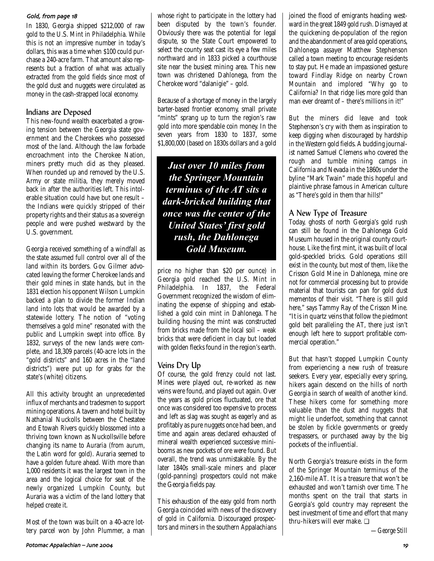#### Gold, from page 18

In 1830, Georgia shipped \$212,000 of raw gold to the U.S. Mint in Philadelphia. While this is not an impressive number in today's dollars, this was a time when \$100 could purchase a 240-acre farm. That amount also represents but a fraction of what was actually extracted from the gold fields since most of the gold dust and nuggets were circulated as money in the cash-strapped local economy.

## Indians are Deposed

This new-found wealth exacerbated a growing tension between the Georgia state government and the Cherokees who possessed most of the land. Although the law forbade encroachment into the Cherokee Nation, miners pretty much did as they pleased. When rounded up and removed by the U.S. Army or state militia, they merely moved back in after the authorities left. This intolerable situation could have but one result – the Indians were quickly stripped of their property rights and their status as a sovereign people and were pushed westward by the U.S. government.

Georgia received something of a windfall as the state assumed full control over all of the land within its borders. Gov. Gilmer advocated leaving the former Cherokee lands and their gold mines in state hands, but in the 1831 election his opponent Wilson Lumpkin backed a plan to divide the former Indian land into lots that would be awarded by a statewide lottery. The notion of "voting themselves a gold mine" resonated with the public and Lumpkin swept into office. By 1832, surveys of the new lands were complete, and 18,309 parcels (40-acre lots in the "gold districts" and 160 acres in the "land districts") were put up for grabs for the state's (white) citizens.

All this activity brought an unprecedented influx of merchants and tradesmen to support mining operations. A tavern and hotel built by Nathanial Nuckolls between the Chestatee and Etowah Rivers quickly blossomed into a thriving town known as Nuckollsville before changing its name to Auraria (from *aurum*, the Latin word for gold). Auraria seemed to have a golden future ahead. With more than 1,000 residents it was the largest town in the area and the logical choice for seat of the newly organized Lumpkin County, but Auraria was a victim of the land lottery that helped create it.

Most of the town was built on a 40-acre lottery parcel won by John Plummer, a man whose right to participate in the lottery had been disputed by the town's founder. Obviously there was the potential for legal dispute, so the State Court empowered to select the county seat cast its eye a few miles northward and in 1833 picked a courthouse site near the busiest mining area. This new town was christened Dahlonega, from the Cherokee word "dalanigie" – gold.

Because of a shortage of money in the largely barter-based frontier economy, small private "mints" sprang up to turn the region's raw gold into more spendable coin money. In the seven years from 1830 to 1837, some \$1,800,000 (based on 1830s dollars and a gold

*Just over 10 miles from the Springer Mountain terminus of the AT sits a dark-bricked building that once was the center of the United States' first gold rush, the Dahlonega Gold Museum.*

price no higher than \$20 per ounce) in Georgia gold reached the U.S. Mint in Philadelphia. In 1837, the Federal Government recognized the wisdom of eliminating the expense of shipping and established a gold coin mint in Dahlonega. The building housing the mint was constructed from bricks made from the local soil – weak bricks that were deficient in clay but loaded with golden flecks found in the region's earth.

## Veins Dry Up

Of course, the gold frenzy could not last. Mines were played out, re-worked as new veins were found, and played out again. Over the years as gold prices fluctuated, ore that once was considered too expensive to process and left as slag was sought as eagerly and as profitably as pure nuggets once had been, and time and again areas declared exhausted of mineral wealth experienced successive minibooms as new pockets of ore were found. But overall, the trend was unmistakable. By the later 1840s small-scale miners and placer (gold-panning) prospectors could not make the Georgia fields pay.

This exhaustion of the easy gold from north Georgia coincided with news of the discovery of gold in California. Discouraged prospectors and miners in the southern Appalachians joined the flood of emigrants heading westward in the great 1849 gold rush. Dismayed at the quickening de-population of the region and the abandonment of area gold operations, Dahlonega assayer Matthew Stephenson called a town meeting to encourage residents to stay put. He made an impassioned gesture toward Findlay Ridge on nearby Crown Mountain and implored "Why go to California? In that ridge lies more gold than man ever dreamt of – there's millions in it!"

But the miners did leave and took Stephenson's cry with them as inspiration to keep digging when discouraged by hardship in the Western gold fields. A budding journalist named Samuel Clemens who covered the rough and tumble mining camps in California and Nevada in the 1860s under the byline "Mark Twain" made this hopeful and plaintive phrase famous in American culture as "There's gold in them thar hills!"

### A New Type of Treasure

Today, ghosts of north Georgia's gold rush can still be found in the Dahlonega Gold Museum housed in the original county courthouse. Like the first mint, it was built of local gold-speckled bricks. Gold operations still exist in the county, but most of them, like the Crisson Gold Mine in Dahlonega, mine ore not for commercial processing but to provide material that tourists can pan for gold dust mementos of their visit. "There is still gold here," says Tammy Ray of the Crisson Mine. "It is in quartz veins that follow the piedmont gold belt paralleling the AT, there just isn't enough left here to support profitable commercial operation."

But that hasn't stopped Lumpkin County from experiencing a new rush of treasure seekers. Every year, especially every spring, hikers again descend on the hills of north Georgia in search of wealth of another kind. These hikers come for something more valuable than the dust and nuggets that might lie underfoot, something that cannot be stolen by fickle governments or greedy trespassers, or purchased away by the big pockets of the influential.

North Georgia's treasure exists in the form of the Springer Mountain terminus of the 2,160-mile AT. It is a treasure that won't be exhausted and won't tarnish over time. The months spent on the trail that starts in Georgia's gold country may represent the best investment of time and effort that many thru-hikers will ever make. ❏

*—George Still*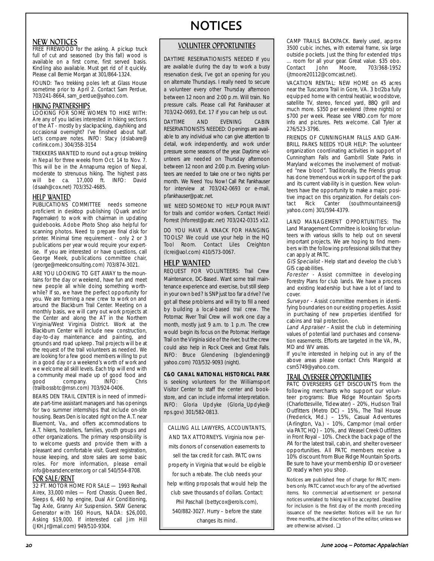### NEW NOTICES

FREE FIREWOOD for the asking. A pickup truck full of cut and seasoned (by this fall) wood is available on a first come, first served basis. Kindling also available. Must get rid of it quickly. Please call Bernie Morgan at 301/864-1324.

FOUND: Two trekking poles left at Glass House sometime prior to April 2. Contact Sam Perdue, 703/241-8664, sam\_perdue@yahoo.com.

### HIKING PARTNERSHIPS

LOOKING FOR SOME WOMEN TO HIKE WITH: Are any of you ladies interested in hiking sections of the AT - mostly by slackpacking, dayhiking and occasional overnight? I've finished about half. Let's compare notes. INFO: Stacy (dslabare@ corlink.com.) 304/358-3154

TREKKERS WANTED to round out a group trekking in Nepal for three weeks from Oct. 14 to Nov. 7. This will be in the Annapurna region of Nepal, moderate to strenuous hiking. The highest pass will be ca. 17,000 ft. INFO: David (dsaah@cox.net) 703/352-4685.

#### HELP WANTED

PUBLICATIONS COMMITTEE needs someone proficient in desktop publishing (Quark and/or Pagemaker) to work with chairman in updating guidebooks. Adobe Photo Shop also helpful for scanning photos. Need to prepare final disk for printer. Minimal time requirement - only 2 or 3 publications per year would require your expertise. If you are interested or have questions, call George Meek, publications committee chair, (george@meekconsulting.com) 703/874-3021.

ARE YOU LOOKING TO GET AWAY to the mountains for the day or weekend, have fun and meet new people all while doing something worthwhile? If so, we have the perfect opportunity for you. We are forming a new crew to work on and around the Blackburn Trail Center. Meeting on a monthly basis, we will carry out work projects at the Center and along the AT in the Northern Virginia/West Virginia District. Work at the Blackburn Center will include new construction, day-to-day maintenance and painting, and grounds and road upkeep. Trail projects will be at the request of the trail volunteers as needed. We are looking for a few good members willing to put in a good day or a weekend's worth of work and we welcome all skill levels. Each trip will end with a community meal made up of good food and<br>good company. INFO: Chris good company. INFO: Chris (trailbossbtc@msn.com) 703/924-0406.

BEARS DEN TRAIL CENTER is in need of immediate part-time assistant managers and has openings for two summer internships that include on-site housing. Bears Den is located right on the A.T. near Bluemont, Va., and offers accommodations to A.T. hikers, hostellers, families, youth groups and other organizations. The primary responsibility is to welcome guests and provide them with a pleasant and comfortable visit. Guest registration, house keeping, and store sales are some basic roles. For more information, please email info@bearsdencenter.org or call 540/554-8708.

### FOR SALE/RENT

32 FT. MOTOR HOME FOR SALE - 1993 Rexhall Airex, 33,000 miles — Ford Chassis. Queen Bed, Sleeps 6, 460 hp engine, Dual Air Conditioning, Tag Axle, Granny Air Suspension. SKW Generac Generator with 160 Hours, NADA: \$26,000, Asking \$19,000. If interested call Jim Hill (JKH.Jr@mail.com) 949/510-9304.

# NOTICES

### VOLUNTEER OPPORTUNITIES

DAYTIME RESERVATIONISTS NEEDED If you are available during the day to work a busy reservation desk, I've got an opening for you on alternate Thursdays. I really need to secure a volunteer every other Thursday afternoon between 12 noon and 2:00 p.m. Will train. No pressure calls. Please call Pat Fankhauser at 703/242-0693, Ext. 17 if you can help us out.

DAYTIME AND EVENING CABIN RESERVATIONISTS NEEDED: Openings are available to any individual who can give attention to detail, work independently, and work under pressure some seasons of the year. Daytime volunteers are needed on Thursday afternoon between 12 noon and 2:00 p.m. Evening volunteers are needed to take one or two nights per month. We Need You Now! Call Pat Fankhauser for interview at 703/242-0693 or e-mail, pfankhauser@patc.net.

WE NEED SOMEONE TO HELP POUR PAINT for trails and corridor workers. Contact Heidi Forrest (hforrest@patc.net) 703/242-0315 x12.

DO YOU HAVE A KNACK FOR HANGING TOOLS? We could use your help in the HQ Tool Room. Contact Liles Creighton (lcrei@aol.com) 410/573-0067.

### HELP WANTED

REQUEST FOR VOLUNTEERS: Trail Crew Maintenance, DC-Based. Want some trail maintenance experience and exercise, but still sleep in your own bed? Is SNP just too far a drive? I've got all these problems and will try to fill a need by building a local-based trail crew. The Potomac River Trail Crew will work one day a month, mostly just 9 a.m. to 1 p.m. The crew would begin its focus on the Potomac Heritage Trail on the Virginia side of the river, but the crew could also help in Rock Creek and Great Falls. INFO: Bruce Glendening (bglendening@ yahoo.com) 703/532-9093 (night).

#### **C&O CANAL NATIONAL HISTORICAL PARK**

is seeking volunteers for the Williamsport Visitor Center to staff the center and bookstore, and can include informal interpretation. INFO: Gloria Updyke (Gloria\_Updyke@ nps.gov) 301/582-0813.

CALLING ALL LAWYERS, ACCOUNTANTS, AND TAX ATTORNEYS. Virginia now per-

mits donors of conservation easements to

sell the tax credit for cash. PATC owns property in Virginia that would be eligible for such a rebate. The club needs your help writing proposals that would help the club save thousands of dollars. Contact: Phil Paschall (bettycox@erols.com), 540/882-3027. Hurry – before the state

changes its mind.

CAMP TRAILS BACKPACK. Barely used, approx 3500 cubic inches, with external frame, six large outside pockets. Just the thing for extended trips ... room for all your gear. Great value. \$35 obo. Contact John Moore, 703/368-1952 (jtmoore20112@comcast.net).

VACATION RENTAL: NEW HOME on 45 acres near the Tuscarora Trail in Gore, VA. 3 br/2ba fully equipped home with central heat/air, woodstove, satellite TV, stereo, fenced yard, BBQ grill and much more. \$350 per weekend (three nights) or \$700 per week. Please see VRBO.com for more info and pictures. Pets welcome. Call Tyler at 276/523-3796.

FRIENDS OF CUNNINGHAM FALLS AND GAM-BRILL PARKS NEEDS YOUR HELP: The volunteer organization coordinating activities in support of Cunningham Falls and Gambrill State Parks in Maryland welcomes the involvement of motivated "new blood". Traditionally, the Friends group has done tremendous work in support of the park and its current viability is in question. New volunteers have the opportunity to make a major, positive impact on this organization. For details contact Rick Canter (southmountaineers@ yahoo.com) 301/594-4379.

LAND MANAGEMENT OPPORTUNITIES: The Land Management Committee is looking for volunteers with various skills to help out on several important projects. We are hoping to find members with the following professional skills that they can apply at PATC.

GIS Specialist - Help start and develop the club's GIS capabilities.

Forester - Assist committee in developing Forestry Plans for club lands. We have a process and existing leadership but have a lot of land to cover.

Surveyor - Assist committee members in identifying boundaries on our existing properties. Assist in purchasing of new properties identified for cabins and trail protection.

Land Appraiser - Assist the club in determining values of potential land purchases and conservation easements. Efforts are targeted in the VA, PA, MD and WV areas.

If you're interested in helping out in any of the above areas please contact Chris Mangold at csm5749@yahoo.com.

### TRAIL OVERSEER OPPORTUNITIES

PATC OVERSEERS GET DISCOUNTS from the following merchants who support our volunteer programs: Blue Ridge Mountain Sports (Charlottesville, Tidewater) – 20%, Hudson Trail Outfitters (Metro DC) – 15%, The Trail House (Frederick, Md.) – 15%, Casual Adventures (Arlington, Va.) – 10%, Campmor (mail order via PATC HQ) – 10%, and Weasel Creek Outfitters in Front Royal – 10%. Check the back page of the PA for the latest trail, cabin, and shelter overseer opportunities. All PATC members receive a 10% discount from Blue Ridge Mountain Sports. Be sure to have your membership ID or overseer ID ready when you shop.

Notices are published free of charge for PATC members only. PATC cannot vouch for any of the advertised items. No commercial advertisement or personal notices unrelated to hiking will be accepted. Deadline for inclusion is the first day of the month preceding issuance of the newsletter. Notices will be run for three months, at the discretion of the editor, unless we are otherwise advised. ❏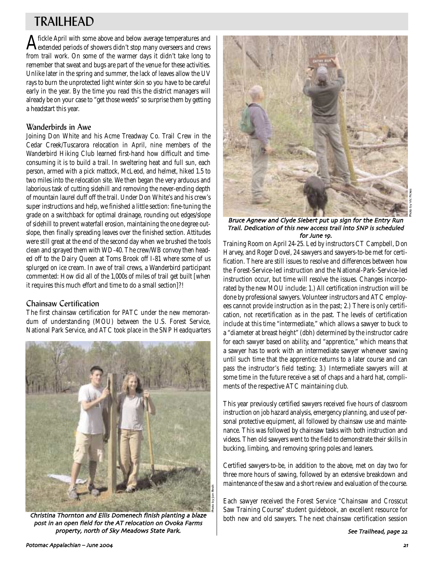## TRAILHEAD

Afickle April with some above and below average temperatures and extended periods of showers didn't stop many overseers and crews from trail work. On some of the warmer days it didn't take long to remember that sweat and bugs are part of the venue for these activities. Unlike later in the spring and summer, the lack of leaves allow the UV rays to burn the unprotected light winter skin so you have to be careful early in the year. By the time you read this the district managers will already be on your case to "get those weeds" so surprise them by getting a headstart this year.

### Wanderbirds in Awe

Joining Don White and his Acme Treadway Co. Trail Crew in the Cedar Creek/Tuscarora relocation in April, nine members of the Wanderbird Hiking Club learned first-hand how difficult and timeconsuming it is to build a trail. In sweltering heat and full sun, each person, armed with a pick mattock, McLeod, and helmet, hiked 1.5 to two miles into the relocation site. We then began the very arduous and laborious task of cutting sidehill and removing the never-ending depth of mountain laurel duff off the trail. Under Don White's and his crew's super instructions and help, we finished a little section: fine-tuning the grade on a switchback for optimal drainage, rounding out edges/slope of sidehill to prevent waterfall erosion, maintaining the one degree outslope, then finally spreading leaves over the finished section. Attitudes were still great at the end of the second day when we brushed the tools clean and sprayed them with WD-40. The crew/WB convoy then headed off to the Dairy Queen at Toms Brook off I-81 where some of us splurged on ice cream. In awe of trail crews, a Wanderbird participant commented: How did all of the 1,000s of miles of trail get built [when it requires this much effort and time to do a small section]?!

## Chainsaw Certification

The first chainsaw certification for PATC under the new memorandum of understanding (MOU) between the U.S. Forest Service, National Park Service, and ATC took place in the SNP Headquarters



post in an open field for the AT relocation on Ovoka Farms property, north of Sky Meadows State Park.



### Bruce Agnew and Clyde Siebert put up sign for the Entry Run Trail. Dedication of this new access trail into SNP is scheduled for June 19.

Training Room on April 24-25. Led by instructors CT Campbell, Don Harvey, and Roger Dovel, 24 sawyers and sawyers-to-be met for certification. There are still issues to resolve and differences between how the Forest-Service-led instruction and the National-Park-Service-led instruction occur, but time will resolve the issues. Changes incorporated by the new MOU include: 1.) All certification instruction will be done by professional sawyers. Volunteer instructors and ATC employees cannot provide instruction as in the past; 2.) There is only certification, not recertification as in the past. The levels of certification include at this time "intermediate," which allows a sawyer to buck to a "diameter at breast height" (dbh) determined by the instructor cadre for each sawyer based on ability, and "apprentice," which means that a sawyer has to work with an intermediate sawyer whenever sawing until such time that the apprentice returns to a later course and can pass the instructor's field testing; 3.) Intermediate sawyers will at some time in the future receive a set of chaps and a hard hat, compliments of the respective ATC maintaining club.

This year previously certified sawyers received five hours of classroom instruction on job hazard analysis, emergency planning, and use of personal protective equipment, all followed by chainsaw use and maintenance. This was followed by chainsaw tasks with both instruction and videos. Then old sawyers went to the field to demonstrate their skills in bucking, limbing, and removing spring poles and leaners.

Certified sawyers-to-be, in addition to the above, met on day two for three more hours of sawing, followed by an extensive breakdown and maintenance of the saw and a short review and evaluation of the course.

Each sawyer received the Forest Service "Chainsaw and Crosscut Saw Training Course" student guidebook, an excellent resource for **Christina Thornton and Ellis Domenech finish planting a blaze** both new and old sawyers. The next chainsaw certification session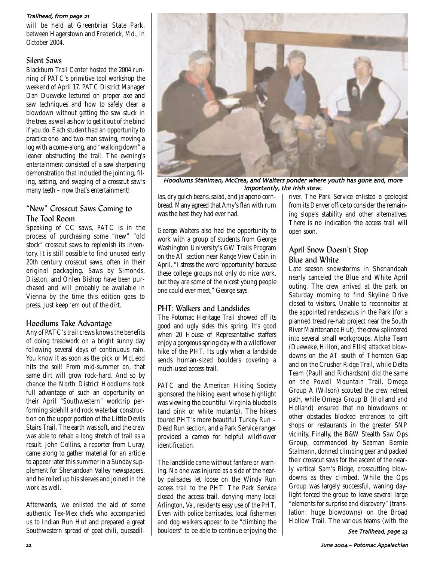### Trailhead, from page 21

will be held at Greenbriar State Park, between Hagerstown and Frederick, Md., in October 2004.

### Silent Saws

Blackburn Trail Center hosted the 2004 running of PATC's primitive tool workshop the weekend of April 17. PATC District Manager Dan Dueweke lectured on proper axe and saw techniques and how to safely clear a blowdown without getting the saw stuck in the tree, as well as how to get it out of the bind if you do. Each student had an opportunity to practice one- and two-man sawing, moving a log with a come-along, and "walking down" a leaner obstructing the trail. The evening's entertainment consisted of a saw sharpening demonstration that included the jointing, filing, setting, and swaging of a crosscut saw's many teeth – now that's entertainment!

## "New" Crosscut Saws Coming to The Tool Room

Speaking of CC saws, PATC is in the process of purchasing some "new" "old stock" crosscut saws to replenish its inventory. It is still possible to find unused early 20th century crosscut saws, often in their original packaging. Saws by Simonds, Disston, and Ohlen Bishop have been purchased and will probably be available in Vienna by the time this edition goes to press. Just keep 'em out of the dirt.

## Hoodlums Take Advantage

Any of PATC's trail crews knows the benefits of doing treadwork on a bright sunny day following several days of continuous rain. You know it as soon as the pick or McLeod hits the soil! From mid-summer on, that same dirt will grow rock-hard. And so by chance the North District Hoodlums took full advantage of such an opportunity on their April "Southwestern" worktrip performing sidehill and rock waterbar construction on the upper portion of the Little Devils Stairs Trail. The earth was soft, and the crew was able to rehab a long stretch of trail as a result. John Collins, a reporter from Luray, came along to gather material for an article to appear later this summer in a Sunday supplement for Shenandoah Valley newspapers, and he rolled up his sleeves and joined in the work as well.

Afterwards, we enlisted the aid of some authentic Tex-Mex chefs who accompanied us to Indian Run Hut and prepared a great Southwestern spread of goat chili, quesadil-



Hoodlums Stahlman, McCrea, and Walters ponder where youth has gone and, more importantly, the Irish stew.

las, dry gulch beans, salad, and jalapeno cornbread. Many agreed that Amy's flan with rum was the best they had ever had.

George Walters also had the opportunity to work with a group of students from George Washington University's GW Trails Program on the AT section near Range View Cabin in April. "I stress the word 'opportunity' because these college groups not only do nice work, but they are some of the nicest young people one could ever meet," George says.

## PHT: Walkers and Landslides

The Potomac Heritage Trail showed off its good and ugly sides this spring. It's good when 20 House of Representative staffers enjoy a gorgeous spring day with a wildflower hike of the PHT. Its ugly when a landslide sends human-sized boulders covering a much-used access trail.

PATC and the American Hiking Society sponsored the hiking event whose highlight was viewing the bountiful Virginia bluebells (and pink or white mutants). The hikers toured PHT's more beautiful Turkey Run – Dead Run section, and a Park Service ranger provided a cameo for helpful wildflower identification.

The landslide came without fanfare or warning. No one was injured as a side of the nearby palisades let loose on the Windy Run access trail to the PHT. The Park Service closed the access trail, denying many local Arlington, Va., residents easy use of the PHT. Even with police barricades, local fishermen and dog walkers appear to be "climbing the boulders" to be able to continue enjoying the river. The Park Service enlisted a geologist from its Denver office to consider the remaining slope's stability and other alternatives. There is no indication the access trail will open soon.

## April Snow Doesn't Stop Blue and White

Late season snowstorms in Shenandoah nearly canceled the Blue and White April outing. The crew arrived at the park on Saturday morning to find Skyline Drive closed to visitors. Unable to reconnoiter at the appointed rendezvous in the Park (for a planned tread re-hab project near the South River Maintenance Hut), the crew splintered into several small workgroups. Alpha Team (Dueweke, Hillon, and Ellis) attacked blowdowns on the AT south of Thornton Gap and on the Crusher Ridge Trail, while Delta Team (Paull and Richardson) did the same on the Powell Mountain Trail. Omega Group A (Wilson) scouted the crew retreat path, while Omega Group B (Holland and Holland) ensured that no blowdowns or other obstacles blocked entrances to gift shops or restaurants in the greater SNP vicinity. Finally, the B&W Stealth Saw Ops Group, commanded by Seaman Bernie Stalmann, donned climbing gear and packed their crosscut saws for the ascent of the nearly vertical Sam's Ridge, crosscutting blowdowns as they climbed. While the Ops Group was largely successful, waning daylight forced the group to leave several large "elements for surprise and discovery" (translation: huge blowdowns) on the Broad Hollow Trail. The various teams (with the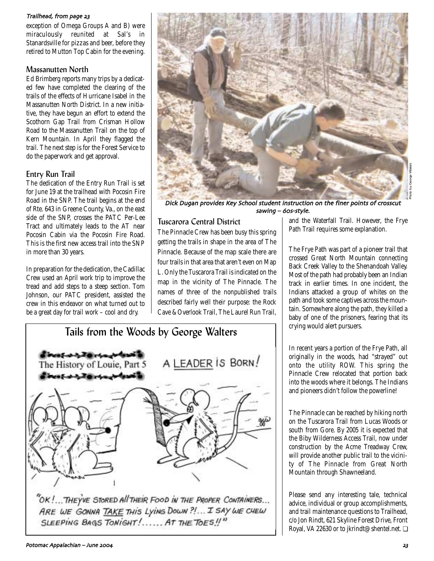### Trailhead, from page 23

exception of Omega Groups A and B) were miraculously reunited at Sal's in Stanardsville for pizzas and beer, before they retired to Mutton Top Cabin for the evening.

### Massanutten North

Ed Brimberg reports many trips by a dedicated few have completed the clearing of the trails of the effects of Hurricane Isabel in the Massanutten North District. In a new initiative, they have begun an effort to extend the Scothorn Gap Trail from Crisman Hollow Road to the Massanutten Trail on the top of Kern Mountain. In April they flagged the trail. The next step is for the Forest Service to do the paperwork and get approval.

## Entry Run Trail

The dedication of the Entry Run Trail is set for June 19 at the trailhead with Pocosin Fire Road in the SNP. The trail begins at the end of Rte. 643 in Greene County, Va., on the east side of the SNP, crosses the PATC Per-Lee Tract and ultimately leads to the AT near Pocosin Cabin via the Pocosin Fire Road. This is the first new access trail into the SNP in more than 30 years.

In preparation for the dedication, the Cadillac Crew used an April work trip to improve the tread and add steps to a steep section. Tom Johnson, our PATC president, assisted the crew in this endeavor on what turned out to be a great day for trail work – cool and dry.



Dick Dugan provides Key School student instruction on the finer points of crosscut sawing - 60s-style.

## Tuscarora Central District

The Pinnacle Crew has been busy this spring getting the trails in shape in the area of The Pinnacle. Because of the map scale there are four trails in that area that aren't even on Map L. Only the Tuscarora Trail is indicated on the map in the vicinity of The Pinnacle. The names of three of the nonpublished trails described fairly well their purpose: the Rock Cave & Overlook Trail, The Laurel Run Trail,



ARE WE GONNA TAKE THIS LYING DOWN ?!... I SAY WE CHEW SLEEPING BAGS TONIGHT!..... AT THE TOES!

and the Waterfall Trail. However, the Frye Path Trail requires some explanation.

The Frye Path was part of a pioneer trail that crossed Great North Mountain connecting Back Creek Valley to the Shenandoah Valley. Most of the path had probably been an Indian track in earlier times. In one incident, the Indians attacked a group of whites on the path and took some captives across the mountain. Somewhere along the path, they killed a baby of one of the prisoners, fearing that its crying would alert pursuers.

In recent years a portion of the Frye Path, all originally in the woods, had "strayed" out onto the utility ROW. This spring the Pinnacle Crew relocated that portion back into the woods where it belongs. The Indians and pioneers didn't follow the powerline!

The Pinnacle can be reached by hiking north on the Tuscarora Trail from Lucas Woods or south from Gore. By 2005 it is expected that the Biby Wilderness Access Trail, now under construction by the Acme Treadway Crew, will provide another public trail to the vicinity of The Pinnacle from Great North Mountain through Shawneeland.

Please send any interesting tale, technical advice, individual or group accomplishments, and trail maintenance questions to Trailhead, c/o Jon Rindt, 621 Skyline Forest Drive, Front Royal, VA 22630 or to jkrindt@shentel.net. ❏